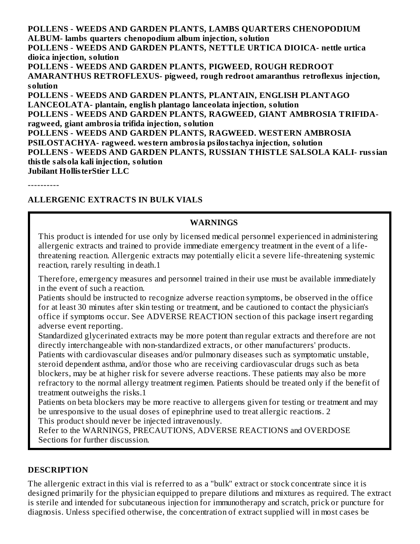**POLLENS - WEEDS AND GARDEN PLANTS, LAMBS QUARTERS CHENOPODIUM ALBUM- lambs quarters chenopodium album injection, solution POLLENS - WEEDS AND GARDEN PLANTS, NETTLE URTICA DIOICA- nettle urtica dioica injection, solution POLLENS - WEEDS AND GARDEN PLANTS, PIGWEED, ROUGH REDROOT AMARANTHUS RETROFLEXUS- pigweed, rough redroot amaranthus retroflexus injection, solution POLLENS - WEEDS AND GARDEN PLANTS, PLANTAIN, ENGLISH PLANTAGO LANCEOLATA- plantain, english plantago lanceolata injection, solution POLLENS - WEEDS AND GARDEN PLANTS, RAGWEED, GIANT AMBROSIA TRIFIDAragweed, giant ambrosia trifida injection, solution POLLENS - WEEDS AND GARDEN PLANTS, RAGWEED. WESTERN AMBROSIA PSILOSTACHYA- ragweed. western ambrosia psilostachya injection, solution POLLENS - WEEDS AND GARDEN PLANTS, RUSSIAN THISTLE SALSOLA KALI- russian thistle salsola kali injection, solution Jubilant HollisterStier LLC**

----------

#### **ALLERGENIC EXTRACTS IN BULK VIALS**

#### **WARNINGS**

This product is intended for use only by licensed medical personnel experienced in administering allergenic extracts and trained to provide immediate emergency treatment in the event of a lifethreatening reaction. Allergenic extracts may potentially elicit a severe life-threatening systemic reaction, rarely resulting in death.1

Therefore, emergency measures and personnel trained in their use must be available immediately in the event of such a reaction.

Patients should be instructed to recognize adverse reaction symptoms, be observed in the office for at least 30 minutes after skin testing or treatment, and be cautioned to contact the physician's office if symptoms occur. See ADVERSE REACTION section of this package insert regarding adverse event reporting.

Standardized glycerinated extracts may be more potent than regular extracts and therefore are not directly interchangeable with non-standardized extracts, or other manufacturers' products.

Patients with cardiovascular diseases and/or pulmonary diseases such as symptomatic unstable, steroid dependent asthma, and/or those who are receiving cardiovascular drugs such as beta blockers, may be at higher risk for severe adverse reactions. These patients may also be more refractory to the normal allergy treatment regimen. Patients should be treated only if the benefit of treatment outweighs the risks.1

Patients on beta blockers may be more reactive to allergens given for testing or treatment and may be unresponsive to the usual doses of epinephrine used to treat allergic reactions. 2 This product should never be injected intravenously.

Refer to the WARNINGS, PRECAUTIONS, ADVERSE REACTIONS and OVERDOSE Sections for further discussion.

#### **DESCRIPTION**

The allergenic extract in this vial is referred to as a "bulk" extract or stock concentrate since it is designed primarily for the physician equipped to prepare dilutions and mixtures as required. The extract is sterile and intended for subcutaneous injection for immunotherapy and scratch, prick or puncture for diagnosis. Unless specified otherwise, the concentration of extract supplied will in most cases be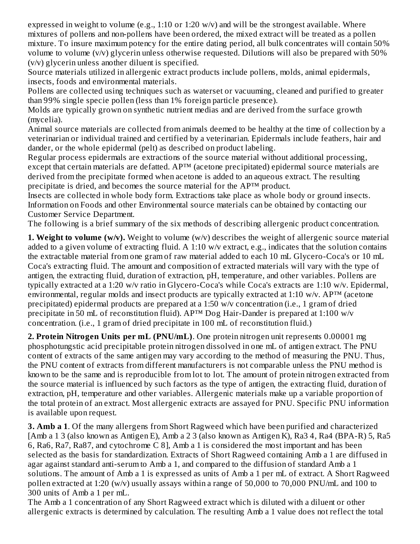expressed in weight to volume (e.g., 1:10 or 1:20 w/v) and will be the strongest available. Where mixtures of pollens and non-pollens have been ordered, the mixed extract will be treated as a pollen mixture. To insure maximum potency for the entire dating period, all bulk concentrates will contain 50% volume to volume (v/v) glycerin unless otherwise requested. Dilutions will also be prepared with 50% (v/v) glycerin unless another diluent is specified.

Source materials utilized in allergenic extract products include pollens, molds, animal epidermals, insects, foods and environmental materials.

Pollens are collected using techniques such as waterset or vacuuming, cleaned and purified to greater than 99% single specie pollen (less than 1% foreign particle presence).

Molds are typically grown on synthetic nutrient medias and are derived from the surface growth (mycelia).

Animal source materials are collected from animals deemed to be healthy at the time of collection by a veterinarian or individual trained and certified by a veterinarian. Epidermals include feathers, hair and dander, or the whole epidermal (pelt) as described on product labeling.

Regular process epidermals are extractions of the source material without additional processing, except that certain materials are defatted. AP™ (acetone precipitated) epidermal source materials are derived from the precipitate formed when acetone is added to an aqueous extract. The resulting precipitate is dried, and becomes the source material for the AP™ product.

Insects are collected in whole body form. Extractions take place as whole body or ground insects. Information on Foods and other Environmental source materials can be obtained by contacting our Customer Service Department.

The following is a brief summary of the six methods of describing allergenic product concentration.

**1. Weight to volume (w/v).** Weight to volume (w/v) describes the weight of allergenic source material added to a given volume of extracting fluid. A 1:10 w/v extract, e.g., indicates that the solution contains the extractable material from one gram of raw material added to each 10 mL Glycero-Coca's or 10 mL Coca's extracting fluid. The amount and composition of extracted materials will vary with the type of antigen, the extracting fluid, duration of extraction, pH, temperature, and other variables. Pollens are typically extracted at a 1:20 w/v ratio in Glycero-Coca's while Coca's extracts are 1:10 w/v. Epidermal, environmental, regular molds and insect products are typically extracted at 1:10 w/v. AP™ (acetone precipitated) epidermal products are prepared at a 1:50 w/v concentration (i.e., 1 gram of dried precipitate in 50 mL of reconstitution fluid). AP<sup>™</sup> Dog Hair-Dander is prepared at 1:100 w/v concentration. (i.e., 1 gram of dried precipitate in 100 mL of reconstitution fluid.)

**2. Protein Nitrogen Units per mL (PNU/mL)**. One protein nitrogen unit represents 0.00001 mg phosphotungstic acid precipitable protein nitrogen dissolved in one mL of antigen extract. The PNU content of extracts of the same antigen may vary according to the method of measuring the PNU. Thus, the PNU content of extracts from different manufacturers is not comparable unless the PNU method is known to be the same and is reproducible from lot to lot. The amount of protein nitrogen extracted from the source material is influenced by such factors as the type of antigen, the extracting fluid, duration of extraction, pH, temperature and other variables. Allergenic materials make up a variable proportion of the total protein of an extract. Most allergenic extracts are assayed for PNU. Specific PNU information is available upon request.

**3. Amb a 1**. Of the many allergens from Short Ragweed which have been purified and characterized [Amb a 1 3 (also known as Antigen E), Amb a 2 3 (also known as Antigen K), Ra3 4, Ra4 (BPA-R) 5, Ra5 6, Ra6, Ra7, Ra87, and cytochrome C 8], Amb a 1 is considered the most important and has been selected as the basis for standardization. Extracts of Short Ragweed containing Amb a 1 are diffused in agar against standard anti-serum to Amb a 1, and compared to the diffusion of standard Amb a 1 solutions. The amount of Amb a 1 is expressed as units of Amb a 1 per mL of extract. A Short Ragweed pollen extracted at 1:20 (w/v) usually assays within a range of 50,000 to 70,000 PNU/mL and 100 to 300 units of Amb a 1 per mL.

The Amb a 1 concentration of any Short Ragweed extract which is diluted with a diluent or other allergenic extracts is determined by calculation. The resulting Amb a 1 value does not reflect the total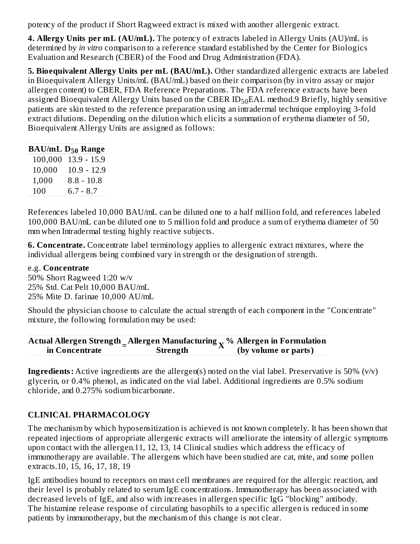potency of the product if Short Ragweed extract is mixed with another allergenic extract.

**4. Allergy Units per mL (AU/mL).** The potency of extracts labeled in Allergy Units (AU)/mL is determined by *in vitro* comparison to a reference standard established by the Center for Biologics Evaluation and Research (CBER) of the Food and Drug Administration (FDA).

**5. Bioequivalent Allergy Units per mL (BAU/mL).** Other standardized allergenic extracts are labeled in Bioequivalent Allergy Units/mL (BAU/mL) based on their comparison (by in vitro assay or major allergen content) to CBER, FDA Reference Preparations. The FDA reference extracts have been assigned Bioequivalent Allergy Units based on the CBER  $\mathrm{ID}_{50}$ EAL method.9 Briefly, highly sensitive patients are skin tested to the reference preparation using an intradermal technique employing 3-fold extract dilutions. Depending on the dilution which elicits a summation of erythema diameter of 50, Bioequivalent Allergy Units are assigned as follows:

| <b>BAU/mL D<sub>50</sub> Range</b> |
|------------------------------------|
| $13.9 - 15.9$                      |
| $10.9 - 12.9$                      |
| $8.8 - 10.8$                       |
| $6.7 - 8.7$                        |
|                                    |

References labeled 10,000 BAU/mL can be diluted one to a half million fold, and references labeled 100,000 BAU/mL can be diluted one to 5 million fold and produce a sum of erythema diameter of 50 mm when Intradermal testing highly reactive subjects.

**6. Concentrate.** Concentrate label terminology applies to allergenic extract mixtures, where the individual allergens being combined vary in strength or the designation of strength.

#### e.g. **Concentrate**

50% Short Ragweed 1:20 w/v 25% Std. Cat Pelt 10,000 BAU/mL 25% Mite D. farinae 10,000 AU/mL

Should the physician choose to calculate the actual strength of each component in the "Concentrate" mixture, the following formulation may be used:

|                | Actual Allergen Strength $\Delta$ llergen Manufacturing $\sim$ % Allergen in Formulation |                      |
|----------------|------------------------------------------------------------------------------------------|----------------------|
| in Concentrate | Strength                                                                                 | (by volume or parts) |

**Ingredients:** Active ingredients are the allergen(s) noted on the vial label. Preservative is 50% (v/v) glycerin, or 0.4% phenol, as indicated on the vial label. Additional ingredients are 0.5% sodium chloride, and 0.275% sodium bicarbonate.

### **CLINICAL PHARMACOLOGY**

The mechanism by which hyposensitization is achieved is not known completely. It has been shown that repeated injections of appropriate allergenic extracts will ameliorate the intensity of allergic symptoms upon contact with the allergen.11, 12, 13, 14 Clinical studies which address the efficacy of immunotherapy are available. The allergens which have been studied are cat, mite, and some pollen extracts.10, 15, 16, 17, 18, 19

IgE antibodies bound to receptors on mast cell membranes are required for the allergic reaction, and their level is probably related to serum IgE concentrations. Immunotherapy has been associated with decreased levels of IgE, and also with increases in allergen specific IgG "blocking" antibody. The histamine release response of circulating basophils to a specific allergen is reduced in some patients by immunotherapy, but the mechanism of this change is not clear.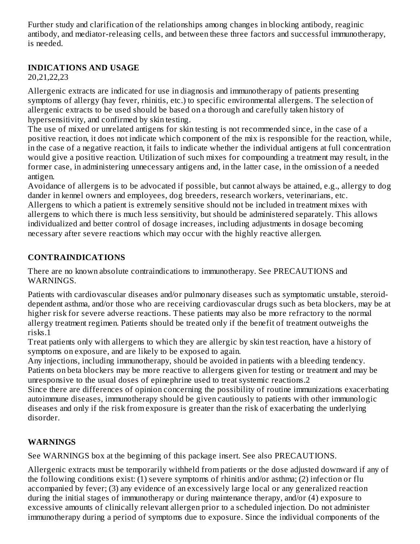Further study and clarification of the relationships among changes in blocking antibody, reaginic antibody, and mediator-releasing cells, and between these three factors and successful immunotherapy, is needed.

### **INDICATIONS AND USAGE**

20,21,22,23

Allergenic extracts are indicated for use in diagnosis and immunotherapy of patients presenting symptoms of allergy (hay fever, rhinitis, etc.) to specific environmental allergens. The selection of allergenic extracts to be used should be based on a thorough and carefully taken history of hypersensitivity, and confirmed by skin testing.

The use of mixed or unrelated antigens for skin testing is not recommended since, in the case of a positive reaction, it does not indicate which component of the mix is responsible for the reaction, while, in the case of a negative reaction, it fails to indicate whether the individual antigens at full concentration would give a positive reaction. Utilization of such mixes for compounding a treatment may result, in the former case, in administering unnecessary antigens and, in the latter case, in the omission of a needed antigen.

Avoidance of allergens is to be advocated if possible, but cannot always be attained, e.g., allergy to dog dander in kennel owners and employees, dog breeders, research workers, veterinarians, etc. Allergens to which a patient is extremely sensitive should not be included in treatment mixes with allergens to which there is much less sensitivity, but should be administered separately. This allows individualized and better control of dosage increases, including adjustments in dosage becoming necessary after severe reactions which may occur with the highly reactive allergen.

### **CONTRAINDICATIONS**

There are no known absolute contraindications to immunotherapy. See PRECAUTIONS and WARNINGS.

Patients with cardiovascular diseases and/or pulmonary diseases such as symptomatic unstable, steroiddependent asthma, and/or those who are receiving cardiovascular drugs such as beta blockers, may be at higher risk for severe adverse reactions. These patients may also be more refractory to the normal allergy treatment regimen. Patients should be treated only if the benefit of treatment outweighs the risks.1

Treat patients only with allergens to which they are allergic by skin test reaction, have a history of symptoms on exposure, and are likely to be exposed to again.

Any injections, including immunotherapy, should be avoided in patients with a bleeding tendency. Patients on beta blockers may be more reactive to allergens given for testing or treatment and may be unresponsive to the usual doses of epinephrine used to treat systemic reactions.2

Since there are differences of opinion concerning the possibility of routine immunizations exacerbating autoimmune diseases, immunotherapy should be given cautiously to patients with other immunologic diseases and only if the risk from exposure is greater than the risk of exacerbating the underlying disorder.

### **WARNINGS**

See WARNINGS box at the beginning of this package insert. See also PRECAUTIONS.

Allergenic extracts must be temporarily withheld from patients or the dose adjusted downward if any of the following conditions exist: (1) severe symptoms of rhinitis and/or asthma; (2) infection or flu accompanied by fever; (3) any evidence of an excessively large local or any generalized reaction during the initial stages of immunotherapy or during maintenance therapy, and/or (4) exposure to excessive amounts of clinically relevant allergen prior to a scheduled injection. Do not administer immunotherapy during a period of symptoms due to exposure. Since the individual components of the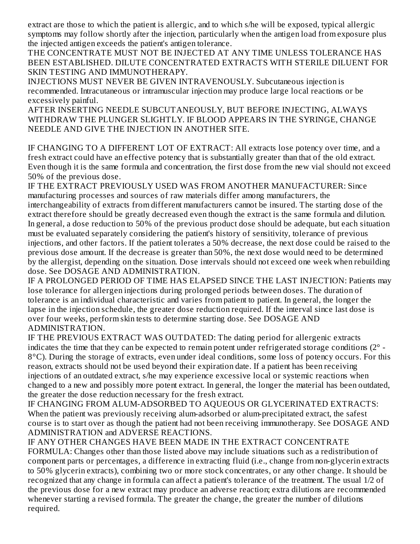extract are those to which the patient is allergic, and to which s/he will be exposed, typical allergic symptoms may follow shortly after the injection, particularly when the antigen load from exposure plus the injected antigen exceeds the patient's antigen tolerance.

THE CONCENTRATE MUST NOT BE INJECTED AT ANY TIME UNLESS TOLERANCE HAS BEEN ESTABLISHED. DILUTE CONCENTRATED EXTRACTS WITH STERILE DILUENT FOR SKIN TESTING AND IMMUNOTHERAPY.

INJECTIONS MUST NEVER BE GIVEN INTRAVENOUSLY. Subcutaneous injection is recommended. Intracutaneous or intramuscular injection may produce large local reactions or be excessively painful.

AFTER INSERTING NEEDLE SUBCUTANEOUSLY, BUT BEFORE INJECTING, ALWAYS WITHDRAW THE PLUNGER SLIGHTLY. IF BLOOD APPEARS IN THE SYRINGE, CHANGE NEEDLE AND GIVE THE INJECTION IN ANOTHER SITE.

IF CHANGING TO A DIFFERENT LOT OF EXTRACT: All extracts lose potency over time, and a fresh extract could have an effective potency that is substantially greater than that of the old extract. Even though it is the same formula and concentration, the first dose from the new vial should not exceed 50% of the previous dose.

IF THE EXTRACT PREVIOUSLY USED WAS FROM ANOTHER MANUFACTURER: Since manufacturing processes and sources of raw materials differ among manufacturers, the interchangeability of extracts from different manufacturers cannot be insured. The starting dose of the extract therefore should be greatly decreased even though the extract is the same formula and dilution. In general, a dose reduction to 50% of the previous product dose should be adequate, but each situation must be evaluated separately considering the patient's history of sensitivity, tolerance of previous injections, and other factors. If the patient tolerates a 50% decrease, the next dose could be raised to the previous dose amount. If the decrease is greater than 50%, the next dose would need to be determined by the allergist, depending on the situation. Dose intervals should not exceed one week when rebuilding dose. See DOSAGE AND ADMINISTRATION.

IF A PROLONGED PERIOD OF TIME HAS ELAPSED SINCE THE LAST INJECTION: Patients may lose tolerance for allergen injections during prolonged periods between doses. The duration of tolerance is an individual characteristic and varies from patient to patient. In general, the longer the lapse in the injection schedule, the greater dose reduction required. If the interval since last dose is over four weeks, perform skin tests to determine starting dose. See DOSAGE AND ADMINISTRATION.

IF THE PREVIOUS EXTRACT WAS OUTDATED: The dating period for allergenic extracts indicates the time that they can be expected to remain potent under refrigerated storage conditions  $(2^{\circ} -$ 8°C). During the storage of extracts, even under ideal conditions, some loss of potency occurs. For this reason, extracts should not be used beyond their expiration date. If a patient has been receiving injections of an outdated extract, s/he may experience excessive local or systemic reactions when changed to a new and possibly more potent extract. In general, the longer the material has been outdated, the greater the dose reduction necessary for the fresh extract.

IF CHANGING FROM ALUM-ADSORBED TO AQUEOUS OR GLYCERINATED EXTRACTS: When the patient was previously receiving alum-adsorbed or alum-precipitated extract, the safest course is to start over as though the patient had not been receiving immunotherapy. See DOSAGE AND ADMINISTRATION and ADVERSE REACTIONS.

IF ANY OTHER CHANGES HAVE BEEN MADE IN THE EXTRACT CONCENTRATE FORMULA: Changes other than those listed above may include situations such as a redistribution of component parts or percentages, a difference in extracting fluid (i.e., change from non-glycerin extracts to 50% glycerin extracts), combining two or more stock concentrates, or any other change. It should be recognized that any change in formula can affect a patient's tolerance of the treatment. The usual 1/2 of the previous dose for a new extract may produce an adverse reaction; extra dilutions are recommended whenever starting a revised formula. The greater the change, the greater the number of dilutions required.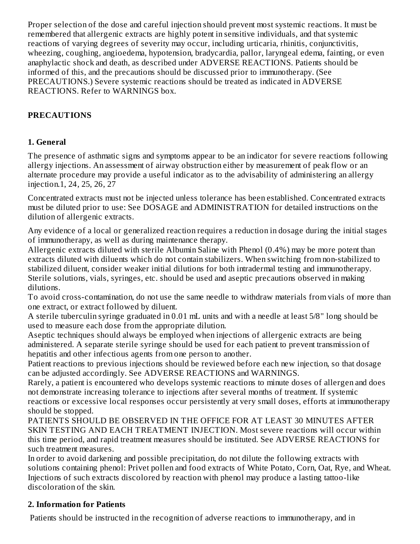Proper selection of the dose and careful injection should prevent most systemic reactions. It must be remembered that allergenic extracts are highly potent in sensitive individuals, and that systemic reactions of varying degrees of severity may occur, including urticaria, rhinitis, conjunctivitis, wheezing, coughing, angioedema, hypotension, bradycardia, pallor, laryngeal edema, fainting, or even anaphylactic shock and death, as described under ADVERSE REACTIONS. Patients should be informed of this, and the precautions should be discussed prior to immunotherapy. (See PRECAUTIONS.) Severe systemic reactions should be treated as indicated in ADVERSE REACTIONS. Refer to WARNINGS box.

## **PRECAUTIONS**

### **1. General**

The presence of asthmatic signs and symptoms appear to be an indicator for severe reactions following allergy injections. An assessment of airway obstruction either by measurement of peak flow or an alternate procedure may provide a useful indicator as to the advisability of administering an allergy injection.1, 24, 25, 26, 27

Concentrated extracts must not be injected unless tolerance has been established. Concentrated extracts must be diluted prior to use: See DOSAGE and ADMINISTRATION for detailed instructions on the dilution of allergenic extracts.

Any evidence of a local or generalized reaction requires a reduction in dosage during the initial stages of immunotherapy, as well as during maintenance therapy.

Allergenic extracts diluted with sterile Albumin Saline with Phenol (0.4%) may be more potent than extracts diluted with diluents which do not contain stabilizers. When switching from non-stabilized to stabilized diluent, consider weaker initial dilutions for both intradermal testing and immunotherapy. Sterile solutions, vials, syringes, etc. should be used and aseptic precautions observed in making dilutions.

To avoid cross-contamination, do not use the same needle to withdraw materials from vials of more than one extract, or extract followed by diluent.

A sterile tuberculin syringe graduated in 0.01 mL units and with a needle at least 5/8" long should be used to measure each dose from the appropriate dilution.

Aseptic techniques should always be employed when injections of allergenic extracts are being administered. A separate sterile syringe should be used for each patient to prevent transmission of hepatitis and other infectious agents from one person to another.

Patient reactions to previous injections should be reviewed before each new injection, so that dosage can be adjusted accordingly. See ADVERSE REACTIONS and WARNINGS.

Rarely, a patient is encountered who develops systemic reactions to minute doses of allergen and does not demonstrate increasing tolerance to injections after several months of treatment. If systemic reactions or excessive local responses occur persistently at very small doses, efforts at immunotherapy should be stopped.

PATIENTS SHOULD BE OBSERVED IN THE OFFICE FOR AT LEAST 30 MINUTES AFTER SKIN TESTING AND EACH TREATMENT INJECTION. Most severe reactions will occur within this time period, and rapid treatment measures should be instituted. See ADVERSE REACTIONS for such treatment measures.

In order to avoid darkening and possible precipitation, do not dilute the following extracts with solutions containing phenol: Privet pollen and food extracts of White Potato, Corn, Oat, Rye, and Wheat. Injections of such extracts discolored by reaction with phenol may produce a lasting tattoo-like discoloration of the skin.

### **2. Information for Patients**

Patients should be instructed in the recognition of adverse reactions to immunotherapy, and in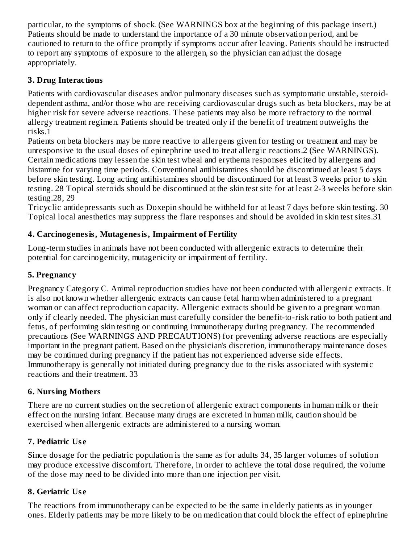particular, to the symptoms of shock. (See WARNINGS box at the beginning of this package insert.) Patients should be made to understand the importance of a 30 minute observation period, and be cautioned to return to the office promptly if symptoms occur after leaving. Patients should be instructed to report any symptoms of exposure to the allergen, so the physician can adjust the dosage appropriately.

### **3. Drug Interactions**

Patients with cardiovascular diseases and/or pulmonary diseases such as symptomatic unstable, steroiddependent asthma, and/or those who are receiving cardiovascular drugs such as beta blockers, may be at higher risk for severe adverse reactions. These patients may also be more refractory to the normal allergy treatment regimen. Patients should be treated only if the benefit of treatment outweighs the risks.1

Patients on beta blockers may be more reactive to allergens given for testing or treatment and may be unresponsive to the usual doses of epinephrine used to treat allergic reactions.2 (See WARNINGS). Certain medications may lessen the skin test wheal and erythema responses elicited by allergens and histamine for varying time periods. Conventional antihistamines should be discontinued at least 5 days before skin testing. Long acting antihistamines should be discontinued for at least 3 weeks prior to skin testing. 28 Topical steroids should be discontinued at the skin test site for at least 2-3 weeks before skin testing.28, 29

Tricyclic antidepressants such as Doxepin should be withheld for at least 7 days before skin testing. 30 Topical local anesthetics may suppress the flare responses and should be avoided in skin test sites.31

### **4. Carcinogenesis, Mutagenesis, Impairment of Fertility**

Long-term studies in animals have not been conducted with allergenic extracts to determine their potential for carcinogenicity, mutagenicity or impairment of fertility.

### **5. Pregnancy**

Pregnancy Category C. Animal reproduction studies have not been conducted with allergenic extracts. It is also not known whether allergenic extracts can cause fetal harm when administered to a pregnant woman or can affect reproduction capacity. Allergenic extracts should be given to a pregnant woman only if clearly needed. The physician must carefully consider the benefit-to-risk ratio to both patient and fetus, of performing skin testing or continuing immunotherapy during pregnancy. The recommended precautions (See WARNINGS AND PRECAUTIONS) for preventing adverse reactions are especially important in the pregnant patient. Based on the physician's discretion, immunotherapy maintenance doses may be continued during pregnancy if the patient has not experienced adverse side effects. Immunotherapy is generally not initiated during pregnancy due to the risks associated with systemic reactions and their treatment. 33

### **6. Nursing Mothers**

There are no current studies on the secretion of allergenic extract components in human milk or their effect on the nursing infant. Because many drugs are excreted in human milk, caution should be exercised when allergenic extracts are administered to a nursing woman.

### **7. Pediatric Us e**

Since dosage for the pediatric population is the same as for adults 34, 35 larger volumes of solution may produce excessive discomfort. Therefore, in order to achieve the total dose required, the volume of the dose may need to be divided into more than one injection per visit.

### **8. Geriatric Us e**

The reactions from immunotherapy can be expected to be the same in elderly patients as in younger ones. Elderly patients may be more likely to be on medication that could block the effect of epinephrine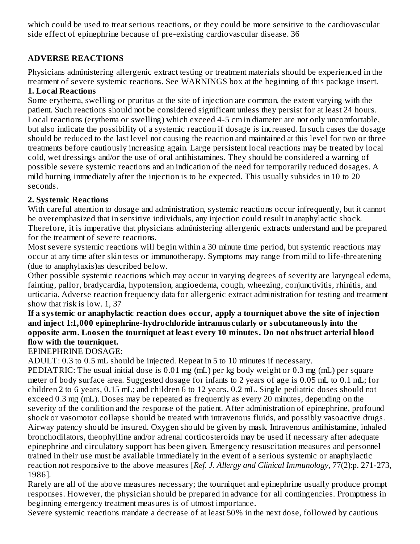which could be used to treat serious reactions, or they could be more sensitive to the cardiovascular side effect of epinephrine because of pre-existing cardiovascular disease. 36

### **ADVERSE REACTIONS**

Physicians administering allergenic extract testing or treatment materials should be experienced in the treatment of severe systemic reactions. See WARNINGS box at the beginning of this package insert. **1. Local Reactions**

Some erythema, swelling or pruritus at the site of injection are common, the extent varying with the patient. Such reactions should not be considered significant unless they persist for at least 24 hours. Local reactions (erythema or swelling) which exceed 4-5 cm in diameter are not only uncomfortable, but also indicate the possibility of a systemic reaction if dosage is increased. In such cases the dosage should be reduced to the last level not causing the reaction and maintained at this level for two or three treatments before cautiously increasing again. Large persistent local reactions may be treated by local cold, wet dressings and/or the use of oral antihistamines. They should be considered a warning of possible severe systemic reactions and an indication of the need for temporarily reduced dosages. A mild burning immediately after the injection is to be expected. This usually subsides in 10 to 20 seconds.

#### **2. Systemic Reactions**

With careful attention to dosage and administration, systemic reactions occur infrequently, but it cannot be overemphasized that in sensitive individuals, any injection could result in anaphylactic shock. Therefore, it is imperative that physicians administering allergenic extracts understand and be prepared for the treatment of severe reactions.

Most severe systemic reactions will begin within a 30 minute time period, but systemic reactions may occur at any time after skin tests or immunotherapy. Symptoms may range from mild to life-threatening (due to anaphylaxis)as described below.

Other possible systemic reactions which may occur in varying degrees of severity are laryngeal edema, fainting, pallor, bradycardia, hypotension, angioedema, cough, wheezing, conjunctivitis, rhinitis, and urticaria. Adverse reaction frequency data for allergenic extract administration for testing and treatment show that risk is low. 1, 37

#### **If a systemic or anaphylactic reaction does occur, apply a tourniquet above the site of injection and inject 1:1,000 epinephrine-hydrochloride intramus cularly or subcutaneously into the opposite arm. Loos en the tourniquet at least every 10 minutes. Do not obstruct arterial blood flow with the tourniquet.**

#### EPINEPHRINE DOSAGE:

ADULT: 0.3 to 0.5 mL should be injected. Repeat in 5 to 10 minutes if necessary.

PEDIATRIC: The usual initial dose is 0.01 mg (mL) per kg body weight or 0.3 mg (mL) per square meter of body surface area. Suggested dosage for infants to 2 years of age is 0.05 mL to 0.1 mL; for children 2 to 6 years, 0.15 mL; and children 6 to 12 years, 0.2 mL. Single pediatric doses should not exceed 0.3 mg (mL). Doses may be repeated as frequently as every 20 minutes, depending on the severity of the condition and the response of the patient. After administration of epinephrine, profound shock or vasomotor collapse should be treated with intravenous fluids, and possibly vasoactive drugs. Airway patency should be insured. Oxygen should be given by mask. Intravenous antihistamine, inhaled bronchodilators, theophylline and/or adrenal corticosteroids may be used if necessary after adequate epinephrine and circulatory support has been given. Emergency resuscitation measures and personnel trained in their use must be available immediately in the event of a serious systemic or anaphylactic reaction not responsive to the above measures [*Ref. J. Allergy and Clinical Immunology*, 77(2):p. 271-273, 1986].

Rarely are all of the above measures necessary; the tourniquet and epinephrine usually produce prompt responses. However, the physician should be prepared in advance for all contingencies. Promptness in beginning emergency treatment measures is of utmost importance.

Severe systemic reactions mandate a decrease of at least 50% in the next dose, followed by cautious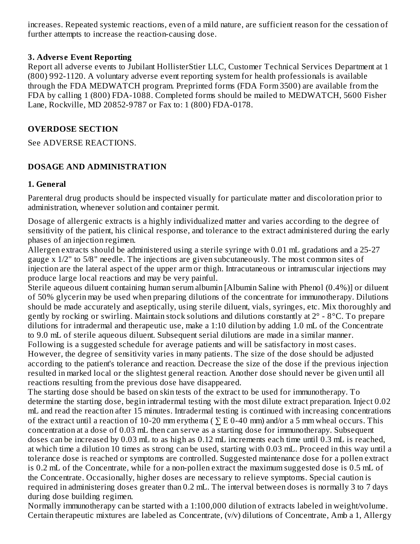increases. Repeated systemic reactions, even of a mild nature, are sufficient reason for the cessation of further attempts to increase the reaction-causing dose.

#### **3. Advers e Event Reporting**

Report all adverse events to Jubilant HollisterStier LLC, Customer Technical Services Department at 1 (800) 992-1120. A voluntary adverse event reporting system for health professionals is available through the FDA MEDWATCH program. Preprinted forms (FDA Form 3500) are available from the FDA by calling 1 (800) FDA-1088. Completed forms should be mailed to MEDWATCH, 5600 Fisher Lane, Rockville, MD 20852-9787 or Fax to: 1 (800) FDA-0178.

#### **OVERDOSE SECTION**

See ADVERSE REACTIONS.

#### **DOSAGE AND ADMINISTRATION**

#### **1. General**

Parenteral drug products should be inspected visually for particulate matter and discoloration prior to administration, whenever solution and container permit.

Dosage of allergenic extracts is a highly individualized matter and varies according to the degree of sensitivity of the patient, his clinical response, and tolerance to the extract administered during the early phases of an injection regimen.

Allergen extracts should be administered using a sterile syringe with 0.01 mL gradations and a 25-27 gauge x 1/2" to 5/8" needle. The injections are given subcutaneously. The most common sites of injection are the lateral aspect of the upper arm or thigh. Intracutaneous or intramuscular injections may produce large local reactions and may be very painful.

Sterile aqueous diluent containing human serum albumin [Albumin Saline with Phenol (0.4%)] or diluent of 50% glycerin may be used when preparing dilutions of the concentrate for immunotherapy. Dilutions should be made accurately and aseptically, using sterile diluent, vials, syringes, etc. Mix thoroughly and gently by rocking or swirling. Maintain stock solutions and dilutions constantly at 2° - 8°C. To prepare dilutions for intradermal and therapeutic use, make a 1:10 dilution by adding 1.0 mL of the Concentrate to 9.0 mL of sterile aqueous diluent. Subsequent serial dilutions are made in a similar manner. Following is a suggested schedule for average patients and will be satisfactory in most cases.

However, the degree of sensitivity varies in many patients. The size of the dose should be adjusted according to the patient's tolerance and reaction. Decrease the size of the dose if the previous injection resulted in marked local or the slightest general reaction. Another dose should never be given until all reactions resulting from the previous dose have disappeared.

The starting dose should be based on skin tests of the extract to be used for immunotherapy. To determine the starting dose, begin intradermal testing with the most dilute extract preparation. Inject 0.02 mL and read the reaction after 15 minutes. Intradermal testing is continued with increasing concentrations of the extract until a reaction of 10-20 mm erythema ( $\Sigma$  E 0-40 mm) and/or a 5 mm wheal occurs. This concentration at a dose of 0.03 mL then can serve as a starting dose for immunotherapy. Subsequent doses can be increased by 0.03 mL to as high as 0.12 mL increments each time until 0.3 mL is reached, at which time a dilution 10 times as strong can be used, starting with 0.03 mL. Proceed in this way until a tolerance dose is reached or symptoms are controlled. Suggested maintenance dose for a pollen extract is 0.2 mL of the Concentrate, while for a non-pollen extract the maximum suggested dose is 0.5 mL of the Concentrate. Occasionally, higher doses are necessary to relieve symptoms. Special caution is required in administering doses greater than 0.2 mL. The interval between doses is normally 3 to 7 days during dose building regimen.

Normally immunotherapy can be started with a 1:100,000 dilution of extracts labeled in weight/volume. Certain therapeutic mixtures are labeled as Concentrate, (v/v) dilutions of Concentrate, Amb a 1, Allergy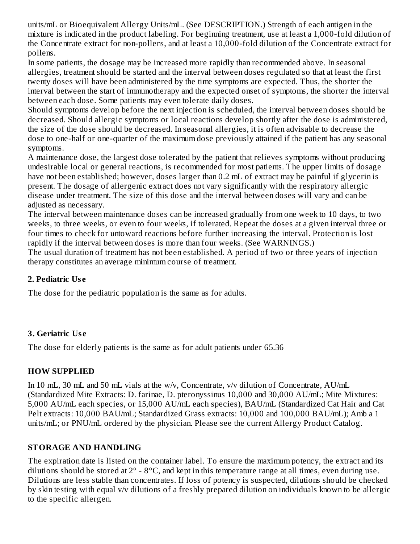units/mL or Bioequivalent Allergy Units/mL. (See DESCRIPTION.) Strength of each antigen in the mixture is indicated in the product labeling. For beginning treatment, use at least a 1,000-fold dilution of the Concentrate extract for non-pollens, and at least a 10,000-fold dilution of the Concentrate extract for pollens.

In some patients, the dosage may be increased more rapidly than recommended above. In seasonal allergies, treatment should be started and the interval between doses regulated so that at least the first twenty doses will have been administered by the time symptoms are expected. Thus, the shorter the interval between the start of immunotherapy and the expected onset of symptoms, the shorter the interval between each dose. Some patients may even tolerate daily doses.

Should symptoms develop before the next injection is scheduled, the interval between doses should be decreased. Should allergic symptoms or local reactions develop shortly after the dose is administered, the size of the dose should be decreased. In seasonal allergies, it is often advisable to decrease the dose to one-half or one-quarter of the maximum dose previously attained if the patient has any seasonal symptoms.

A maintenance dose, the largest dose tolerated by the patient that relieves symptoms without producing undesirable local or general reactions, is recommended for most patients. The upper limits of dosage have not been established; however, doses larger than 0.2 mL of extract may be painful if glycerin is present. The dosage of allergenic extract does not vary significantly with the respiratory allergic disease under treatment. The size of this dose and the interval between doses will vary and can be adjusted as necessary.

The interval between maintenance doses can be increased gradually from one week to 10 days, to two weeks, to three weeks, or even to four weeks, if tolerated. Repeat the doses at a given interval three or four times to check for untoward reactions before further increasing the interval. Protection is lost rapidly if the interval between doses is more than four weeks. (See WARNINGS.)

The usual duration of treatment has not been established. A period of two or three years of injection therapy constitutes an average minimum course of treatment.

#### **2. Pediatric Us e**

The dose for the pediatric population is the same as for adults.

#### **3. Geriatric Us e**

The dose for elderly patients is the same as for adult patients under 65.36

#### **HOW SUPPLIED**

In 10 mL, 30 mL and 50 mL vials at the w/v, Concentrate, v/v dilution of Concentrate, AU/mL (Standardized Mite Extracts: D. farinae, D. pteronyssinus 10,000 and 30,000 AU/mL; Mite Mixtures: 5,000 AU/mL each species, or 15,000 AU/mL each species), BAU/mL (Standardized Cat Hair and Cat Pelt extracts: 10,000 BAU/mL; Standardized Grass extracts: 10,000 and 100,000 BAU/mL); Amb a 1 units/mL; or PNU/mL ordered by the physician. Please see the current Allergy Product Catalog.

### **STORAGE AND HANDLING**

The expiration date is listed on the container label. To ensure the maximum potency, the extract and its dilutions should be stored at  $2^{\circ}$  -  $8^{\circ}$ C, and kept in this temperature range at all times, even during use. Dilutions are less stable than concentrates. If loss of potency is suspected, dilutions should be checked by skin testing with equal v/v dilutions of a freshly prepared dilution on individuals known to be allergic to the specific allergen.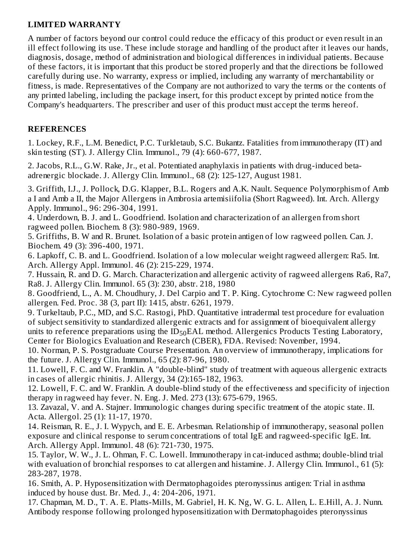#### **LIMITED WARRANTY**

A number of factors beyond our control could reduce the efficacy of this product or even result in an ill effect following its use. These include storage and handling of the product after it leaves our hands, diagnosis, dosage, method of administration and biological differences in individual patients. Because of these factors, it is important that this product be stored properly and that the directions be followed carefully during use. No warranty, express or implied, including any warranty of merchantability or fitness, is made. Representatives of the Company are not authorized to vary the terms or the contents of any printed labeling, including the package insert, for this product except by printed notice from the Company's headquarters. The prescriber and user of this product must accept the terms hereof.

#### **REFERENCES**

1. Lockey, R.F., L.M. Benedict, P.C. Turkletaub, S.C. Bukantz. Fatalities from immunotherapy (IT) and skin testing (ST). J. Allergy Clin. Immunol., 79 (4): 660-677, 1987.

2. Jacobs, R.L., G.W. Rake, Jr., et al. Potentiated anaphylaxis in patients with drug-induced betaadrenergic blockade. J. Allergy Clin. Immunol., 68 (2): 125-127, August 1981.

3. Griffith, I.J., J. Pollock, D.G. Klapper, B.L. Rogers and A.K. Nault. Sequence Polymorphism of Amb a I and Amb a II, the Major Allergens in Ambrosia artemisiifolia (Short Ragweed). Int. Arch. Allergy Apply. Immunol., 96: 296-304, 1991.

4. Underdown, B. J. and L. Goodfriend. Isolation and characterization of an allergen from short ragweed pollen. Biochem. 8 (3): 980-989, 1969.

5. Griffiths, B. W and R. Brunet. Isolation of a basic protein antigen of low ragweed pollen. Can. J. Biochem. 49 (3): 396-400, 1971.

6. Lapkoff, C. B. and L. Goodfriend. Isolation of a low molecular weight ragweed allergen: Ra5. Int. Arch. Allergy Appl. Immunol. 46 (2): 215-229, 1974.

7. Hussain, R. and D. G. March. Characterization and allergenic activity of ragweed allergens Ra6, Ra7, Ra8. J. Allergy Clin. Immunol. 65 (3): 230, abstr. 218, 1980

8. Goodfriend, L., A. M. Choudhury, J. Del Carpio and T. P. King. Cytochrome C: New ragweed pollen allergen. Fed. Proc. 38 (3, part II): 1415, abstr. 6261, 1979.

9. Turkeltaub, P.C., MD, and S.C. Rastogi, PhD. Quantitative intradermal test procedure for evaluation of subject sensitivity to standardized allergenic extracts and for assignment of bioequivalent allergy units to reference preparations using the  $ID_{50}EAL$  method. Allergenics Products Testing Laboratory, Center for Biologics Evaluation and Research (CBER), FDA. Revised: November, 1994.

10. Norman, P. S. Postgraduate Course Presentation. An overview of immunotherapy, implications for the future. J. Allergy Clin. Immunol., 65 (2): 87-96, 1980.

11. Lowell, F. C. and W. Franklin. A "double-blind" study of treatment with aqueous allergenic extracts in cases of allergic rhinitis. J. Allergy, 34 (2):165-182, 1963.

12. Lowell, F. C. and W. Franklin. A double-blind study of the effectiveness and specificity of injection therapy in ragweed hay fever. N. Eng. J. Med. 273 (13): 675-679, 1965.

13. Zavazal, V. and A. Stajner. Immunologic changes during specific treatment of the atopic state. II. Acta. Allergol. 25 (1): 11-17, 1970.

14. Reisman, R. E., J. I. Wypych, and E. E. Arbesman. Relationship of immunotherapy, seasonal pollen exposure and clinical response to serum concentrations of total IgE and ragweed-specific IgE. Int. Arch. Allergy Appl. Immunol. 48 (6): 721-730, 1975.

15. Taylor, W. W., J. L. Ohman, F. C. Lowell. Immunotherapy in cat-induced asthma; double-blind trial with evaluation of bronchial responses to cat allergen and histamine. J. Allergy Clin. Immunol., 61 (5): 283-287, 1978.

16. Smith, A. P. Hyposensitization with Dermatophagoides pteronyssinus antigen: Trial in asthma induced by house dust. Br. Med. J., 4: 204-206, 1971.

17. Chapman, M. D., T. A. E. Platts-Mills, M. Gabriel, H. K. Ng, W. G. L. Allen, L. E.Hill, A. J. Nunn. Antibody response following prolonged hyposensitization with Dermatophagoides pteronyssinus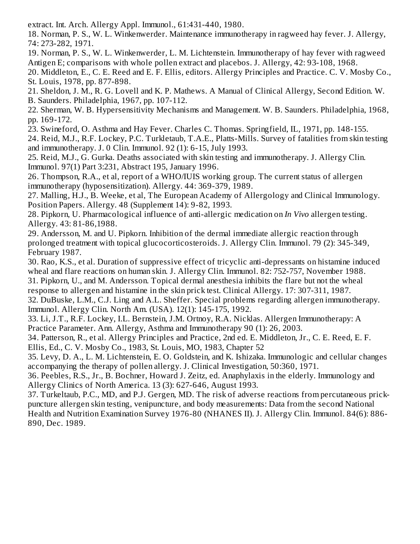extract. Int. Arch. Allergy Appl. Immunol., 61:431-440, 1980.

18. Norman, P. S., W. L. Winkenwerder. Maintenance immunotherapy in ragweed hay fever. J. Allergy, 74: 273-282, 1971.

19. Norman, P. S., W. L. Winkenwerder, L. M. Lichtenstein. Immunotherapy of hay fever with ragweed Antigen E; comparisons with whole pollen extract and placebos. J. Allergy, 42: 93-108, 1968.

20. Middleton, E., C. E. Reed and E. F. Ellis, editors. Allergy Principles and Practice. C. V. Mosby Co., St. Louis, 1978, pp. 877-898.

21. Sheldon, J. M., R. G. Lovell and K. P. Mathews. A Manual of Clinical Allergy, Second Edition. W. B. Saunders. Philadelphia, 1967, pp. 107-112.

22. Sherman, W. B. Hypersensitivity Mechanisms and Management. W. B. Saunders. Philadelphia, 1968, pp. 169-172.

23. Swineford, O. Asthma and Hay Fever. Charles C. Thomas. Springfield, IL, 1971, pp. 148-155.

24. Reid, M.J., R.F. Lockey, P.C. Turkletaub, T.A.E., Platts-Mills. Survey of fatalities from skin testing and immunotherapy. J. 0 Clin. Immunol. 92 (1): 6-15, July 1993.

25. Reid, M.J., G. Gurka. Deaths associated with skin testing and immunotherapy. J. Allergy Clin. Immunol. 97(1) Part 3:231, Abstract 195, January 1996.

26. Thompson, R.A., et al, report of a WHO/IUIS working group. The current status of allergen immunotherapy (hyposensitization). Allergy. 44: 369-379, 1989.

27. Malling, H.J., B. Weeke, et al, The European Academy of Allergology and Clinical Immunology. Position Papers. Allergy. 48 (Supplement 14): 9-82, 1993.

28. Pipkorn, U. Pharmacological influence of anti-allergic medication on *In Vivo* allergen testing. Allergy. 43: 81-86,1988.

29. Andersson, M. and U. Pipkorn. Inhibition of the dermal immediate allergic reaction through prolonged treatment with topical glucocorticosteroids. J. Allergy Clin. Immunol. 79 (2): 345-349, February 1987.

30. Rao, K.S., et al. Duration of suppressive effect of tricyclic anti-depressants on histamine induced wheal and flare reactions on human skin. J. Allergy Clin. Immunol. 82: 752-757, November 1988. 31. Pipkorn, U., and M. Andersson. Topical dermal anesthesia inhibits the flare but not the wheal response to allergen and histamine in the skin prick test. Clinical Allergy. 17: 307-311, 1987.

32. DuBuske, L.M., C.J. Ling and A.L. Sheffer. Special problems regarding allergen immunotherapy. Immunol. Allergy Clin. North Am. (USA). 12(1): 145-175, 1992.

33. Li, J.T., R.F. Lockey, I.L. Bernstein, J.M. Ortnoy, R.A. Nicklas. Allergen Immunotherapy: A Practice Parameter. Ann. Allergy, Asthma and Immunotherapy 90 (1): 26, 2003.

34. Patterson, R., et al. Allergy Principles and Practice, 2nd ed. E. Middleton, Jr., C. E. Reed, E. F. Ellis, Ed., C. V. Mosby Co., 1983, St. Louis, MO, 1983, Chapter 52

35. Levy, D. A., L. M. Lichtenstein, E. O. Goldstein, and K. Ishizaka. Immunologic and cellular changes accompanying the therapy of pollen allergy. J. Clinical Investigation, 50:360, 1971.

36. Peebles, R.S., Jr., B. Bochner, Howard J. Zeitz, ed. Anaphylaxis in the elderly. Immunology and Allergy Clinics of North America. 13 (3): 627-646, August 1993.

37. Turkeltaub, P.C., MD, and P.J. Gergen, MD. The risk of adverse reactions from percutaneous prickpuncture allergen skin testing, venipuncture, and body measurements: Data from the second National Health and Nutrition Examination Survey 1976-80 (NHANES II). J. Allergy Clin. Immunol. 84(6): 886- 890, Dec. 1989.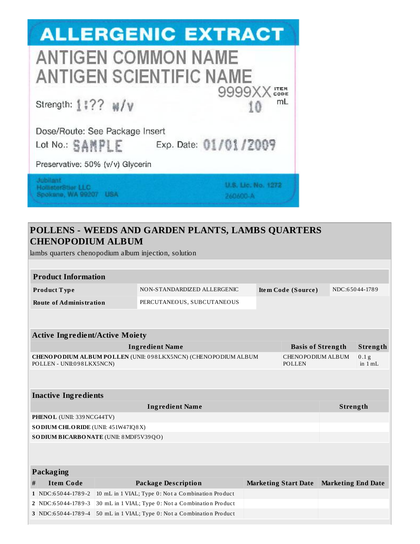

### **POLLENS - WEEDS AND GARDEN PLANTS, LAMBS QUARTERS CHENOPODIUM ALBUM**

lambs quarters chenopodium album injection, solution

|   | мнюэ диатегэ спенороминг аюинг шресион, эошион |  |                                                                |  |                                    |                           |                             |  |  |
|---|------------------------------------------------|--|----------------------------------------------------------------|--|------------------------------------|---------------------------|-----------------------------|--|--|
|   |                                                |  |                                                                |  |                                    |                           |                             |  |  |
|   | <b>Product Information</b>                     |  |                                                                |  |                                    |                           |                             |  |  |
|   | Product Type                                   |  | NON-STANDARDIZED ALLERGENIC                                    |  | Item Code (Source)                 |                           | NDC:65044-1789              |  |  |
|   | <b>Route of Administration</b>                 |  | PERCUTANEOUS, SUBCUTANEOUS                                     |  |                                    |                           |                             |  |  |
|   |                                                |  |                                                                |  |                                    |                           |                             |  |  |
|   | <b>Active Ingredient/Active Moiety</b>         |  |                                                                |  |                                    |                           |                             |  |  |
|   |                                                |  | <b>Ingredient Name</b>                                         |  | <b>Basis of Strength</b>           |                           | Strength                    |  |  |
|   | POLLEN - UNII:098LKX5NCN)                      |  | CHENOPODIUM ALBUM POLLEN (UNII: 098LKX5NCN) (CHENOPODIUM ALBUM |  | CHENOPODIUM ALBUM<br><b>POLLEN</b> |                           | 0.1 <sub>g</sub><br>in 1 mL |  |  |
|   |                                                |  |                                                                |  |                                    |                           |                             |  |  |
|   | <b>Inactive Ingredients</b>                    |  |                                                                |  |                                    |                           |                             |  |  |
|   |                                                |  | <b>Ingredient Name</b>                                         |  |                                    | Strength                  |                             |  |  |
|   | PHENOL (UNII: 339 NCG44TV)                     |  |                                                                |  |                                    |                           |                             |  |  |
|   | SODIUM CHLORIDE (UNII: 451W47IQ8X)             |  |                                                                |  |                                    |                           |                             |  |  |
|   | SO DIUM BICARBONATE (UNII: 8 MDF5V39QO)        |  |                                                                |  |                                    |                           |                             |  |  |
|   |                                                |  |                                                                |  |                                    |                           |                             |  |  |
|   | <b>Packaging</b>                               |  |                                                                |  |                                    |                           |                             |  |  |
| # | <b>Item Code</b>                               |  | <b>Package Description</b>                                     |  | <b>Marketing Start Date</b>        | <b>Marketing End Date</b> |                             |  |  |
|   | 1 NDC:65044-1789-2                             |  | 10 mL in 1 VIAL; Type 0: Not a Combination Product             |  |                                    |                           |                             |  |  |
|   | 2 NDC:65044-1789-3                             |  | 30 mL in 1 VIAL; Type 0: Not a Combination Product             |  |                                    |                           |                             |  |  |
|   | 3 NDC:65044-1789-4                             |  | 50 mL in 1 VIAL; Type 0: Not a Combination Product             |  |                                    |                           |                             |  |  |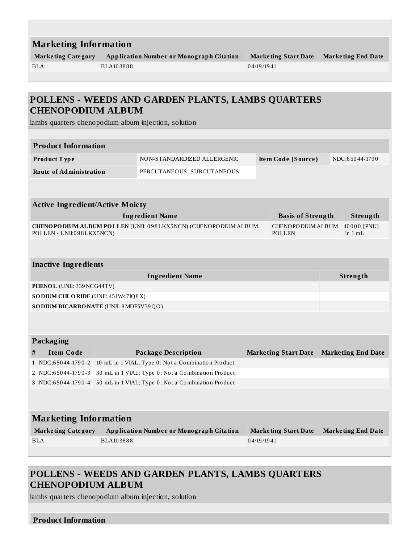|            | <b>Marketing Information</b>           |                              |                                                                |  |                             |  |                           |  |  |
|------------|----------------------------------------|------------------------------|----------------------------------------------------------------|--|-----------------------------|--|---------------------------|--|--|
|            | <b>Marketing Category</b>              |                              | <b>Application Number or Monograph Citation</b>                |  | <b>Marketing Start Date</b> |  | <b>Marketing End Date</b> |  |  |
| <b>BLA</b> |                                        | BLA103888                    |                                                                |  | 04/19/1941                  |  |                           |  |  |
|            |                                        |                              |                                                                |  |                             |  |                           |  |  |
|            |                                        |                              |                                                                |  |                             |  |                           |  |  |
|            |                                        |                              | POLLENS - WEEDS AND GARDEN PLANTS, LAMBS QUARTERS              |  |                             |  |                           |  |  |
|            | <b>CHENOPODIUM ALBUM</b>               |                              |                                                                |  |                             |  |                           |  |  |
|            |                                        |                              | lambs quarters chenopodium album injection, solution           |  |                             |  |                           |  |  |
|            |                                        |                              |                                                                |  |                             |  |                           |  |  |
|            | <b>Product Information</b>             |                              |                                                                |  |                             |  |                           |  |  |
|            | Product Type                           |                              | NON-STANDARDIZED ALLERGENIC                                    |  | Item Code (Source)          |  | NDC:65044-1790            |  |  |
|            | <b>Route of Administration</b>         |                              | PERCUTANEOUS, SUBCUTANEOUS                                     |  |                             |  |                           |  |  |
|            |                                        |                              |                                                                |  |                             |  |                           |  |  |
|            |                                        |                              |                                                                |  |                             |  |                           |  |  |
|            | <b>Active Ingredient/Active Moiety</b> |                              |                                                                |  |                             |  |                           |  |  |
|            |                                        |                              | <b>Ingredient Name</b>                                         |  | <b>Basis of Strength</b>    |  | Strength                  |  |  |
|            |                                        |                              | CHENOPODIUM ALBUM POLLEN (UNII: 098LKX5NCN) (CHENOPODIUM ALBUM |  | CHENOPODIUM ALBUM           |  | 40000 [PNU]               |  |  |
|            | POLLEN - UNII:098LKX5NCN)              |                              |                                                                |  | POLLEN                      |  | in $1 mL$                 |  |  |
|            |                                        |                              |                                                                |  |                             |  |                           |  |  |
|            |                                        |                              |                                                                |  |                             |  |                           |  |  |
|            | <b>Inactive Ingredients</b>            |                              |                                                                |  |                             |  |                           |  |  |
|            |                                        |                              | <b>Ingredient Name</b>                                         |  |                             |  | Strength                  |  |  |
|            | PHENOL (UNII: 339 NCG44TV)             |                              |                                                                |  |                             |  |                           |  |  |
|            | SO DIUM CHLORIDE (UNII: 451W47IQ8X)    |                              |                                                                |  |                             |  |                           |  |  |
|            | SODIUM BICARBONATE (UNII: 8 MDF5V39QO) |                              |                                                                |  |                             |  |                           |  |  |
|            |                                        |                              |                                                                |  |                             |  |                           |  |  |
|            |                                        |                              |                                                                |  |                             |  |                           |  |  |
|            | Packaging                              |                              |                                                                |  |                             |  |                           |  |  |
| #          | <b>Item Code</b>                       |                              | <b>Package Description</b>                                     |  | <b>Marketing Start Date</b> |  | <b>Marketing End Date</b> |  |  |
|            | 1 NDC:65044-1790-2                     |                              | 10 mL in 1 VIAL; Type 0: Not a Combination Product             |  |                             |  |                           |  |  |
|            | 2   NDC:65044-1790-3                   |                              | 30 mL in 1 VIAL; Type 0: Not a Combination Product             |  |                             |  |                           |  |  |
|            | 3 NDC:65044-1790-4                     |                              | 50 mL in 1 VIAL; Type 0: Not a Combination Product             |  |                             |  |                           |  |  |
|            |                                        |                              |                                                                |  |                             |  |                           |  |  |
|            |                                        |                              |                                                                |  |                             |  |                           |  |  |
|            |                                        | <b>Marketing Information</b> |                                                                |  |                             |  |                           |  |  |
|            |                                        |                              |                                                                |  |                             |  |                           |  |  |
|            | <b>Marketing Category</b>              |                              | <b>Application Number or Monograph Citation</b>                |  | <b>Marketing Start Date</b> |  |                           |  |  |
|            | <b>BLA</b>                             | BLA103888                    |                                                                |  | 04/19/1941                  |  | <b>Marketing End Date</b> |  |  |

## **POLLENS - WEEDS AND GARDEN PLANTS, LAMBS QUARTERS CHENOPODIUM ALBUM**

lambs quarters chenopodium album injection, solution

#### **Product Information**

L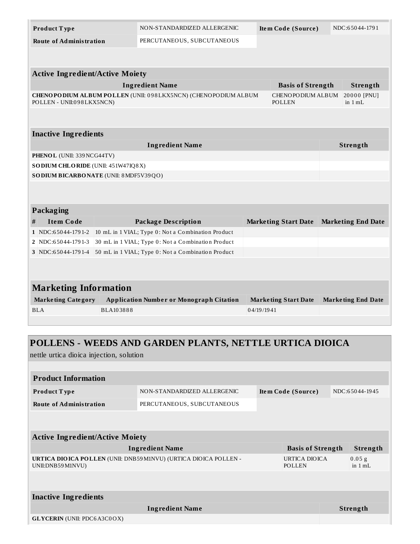| Product Type                            | NON-STANDARDIZED ALLERGENIC                                     | Item Code (Source)                 | NDC:65044-1791            |  |  |  |  |
|-----------------------------------------|-----------------------------------------------------------------|------------------------------------|---------------------------|--|--|--|--|
| <b>Route of Administration</b>          | PERCUTANEOUS, SUBCUTANEOUS                                      |                                    |                           |  |  |  |  |
|                                         |                                                                 |                                    |                           |  |  |  |  |
|                                         |                                                                 |                                    |                           |  |  |  |  |
| <b>Active Ingredient/Active Moiety</b>  |                                                                 |                                    |                           |  |  |  |  |
|                                         | <b>Ingredient Name</b>                                          | <b>Basis of Strength</b>           | Strength                  |  |  |  |  |
| POLLEN - UNII:098LKX5NCN)               | CHENOPO DIUM ALBUM POLLEN (UNII: 098LKX5NCN) (CHENOPODIUM ALBUM | CHENOPODIUM ALBUM<br><b>POLLEN</b> | 20000 [PNU]<br>in $1 mL$  |  |  |  |  |
|                                         |                                                                 |                                    |                           |  |  |  |  |
|                                         |                                                                 |                                    |                           |  |  |  |  |
| <b>Inactive Ingredients</b>             |                                                                 |                                    |                           |  |  |  |  |
|                                         | <b>Ingredient Name</b>                                          |                                    | Strength                  |  |  |  |  |
| PHENOL (UNII: 339 NCG44TV)              |                                                                 |                                    |                           |  |  |  |  |
| SODIUM CHLORIDE (UNII: 451W47IQ8X)      |                                                                 |                                    |                           |  |  |  |  |
| SO DIUM BICARBONATE (UNII: 8 MDF5V39QO) |                                                                 |                                    |                           |  |  |  |  |
|                                         |                                                                 |                                    |                           |  |  |  |  |
|                                         |                                                                 |                                    |                           |  |  |  |  |
| Packaging                               |                                                                 |                                    |                           |  |  |  |  |
| <b>Item Code</b><br>#                   | <b>Package Description</b>                                      | <b>Marketing Start Date</b>        | <b>Marketing End Date</b> |  |  |  |  |
| 1 NDC:65044-1791-2                      | 10 mL in 1 VIAL; Type 0: Not a Combination Product              |                                    |                           |  |  |  |  |
| 2 NDC:65044-1791-3                      | 30 mL in 1 VIAL; Type 0: Not a Combination Product              |                                    |                           |  |  |  |  |
| 3 NDC:65044-1791-4                      | 50 mL in 1 VIAL; Type 0: Not a Combination Product              |                                    |                           |  |  |  |  |
|                                         |                                                                 |                                    |                           |  |  |  |  |
|                                         |                                                                 |                                    |                           |  |  |  |  |
| <b>Marketing Information</b>            |                                                                 |                                    |                           |  |  |  |  |
| <b>Marketing Category</b>               | <b>Application Number or Monograph Citation</b>                 | <b>Marketing Start Date</b>        | <b>Marketing End Date</b> |  |  |  |  |
| BLA103888<br>BLA                        |                                                                 | 04/19/1941                         |                           |  |  |  |  |
|                                         |                                                                 |                                    |                           |  |  |  |  |

# **POLLENS - WEEDS AND GARDEN PLANTS, NETTLE URTICA DIOICA**

nettle urtica dioica injection, solution

| <b>Product Information</b>                                                                     |                             |  |                                |                 |                               |  |  |  |
|------------------------------------------------------------------------------------------------|-----------------------------|--|--------------------------------|-----------------|-------------------------------|--|--|--|
| Product Type                                                                                   | NON-STANDARDIZED ALLERGENIC |  | Item Code (Source)             |                 | NDC:65044-1945                |  |  |  |
| <b>Route of Administration</b>                                                                 | PERCUTANEOUS, SUBCUTANEOUS  |  |                                |                 |                               |  |  |  |
|                                                                                                |                             |  |                                |                 |                               |  |  |  |
|                                                                                                |                             |  |                                |                 |                               |  |  |  |
| <b>Active Ingredient/Active Moiety</b>                                                         |                             |  |                                |                 |                               |  |  |  |
|                                                                                                | <b>Ingredient Name</b>      |  | <b>Basis of Strength</b>       |                 | Strength                      |  |  |  |
| <b>URTICA DIO ICA POLLEN (UNII: DNB59 M1NVU) (URTICA DIO ICA POLLEN -</b><br>UNII:DNB59 M1NVU) |                             |  | URTICA DIOICA<br><b>POLLEN</b> |                 | $0.05$ g<br>in $1 \text{ mL}$ |  |  |  |
|                                                                                                |                             |  |                                |                 |                               |  |  |  |
|                                                                                                |                             |  |                                |                 |                               |  |  |  |
| <b>Inactive Ingredients</b>                                                                    |                             |  |                                |                 |                               |  |  |  |
| <b>Ingredient Name</b>                                                                         |                             |  |                                | <b>Strength</b> |                               |  |  |  |
| <b>GLYCERIN</b> (UNII: PDC6A3C0OX)                                                             |                             |  |                                |                 |                               |  |  |  |
|                                                                                                |                             |  |                                |                 |                               |  |  |  |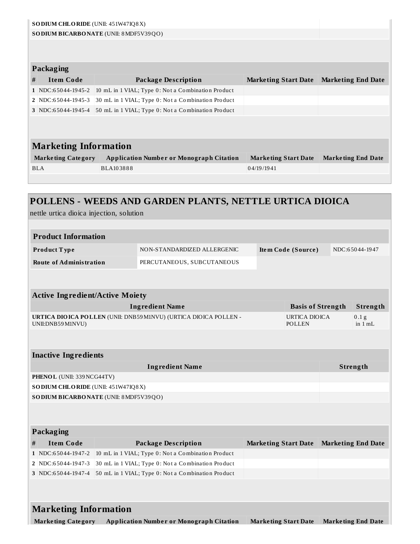| SO DIUM CHLORIDE (UNII: 451W47IQ8X)                               |                           |                                                                  |            |                             |                          |                           |
|-------------------------------------------------------------------|---------------------------|------------------------------------------------------------------|------------|-----------------------------|--------------------------|---------------------------|
| SO DIUM BICARBONATE (UNII: 8 MDF5V39QO)                           |                           |                                                                  |            |                             |                          |                           |
|                                                                   |                           |                                                                  |            |                             |                          |                           |
| <b>Packaging</b>                                                  |                           |                                                                  |            |                             |                          |                           |
| <b>Item Code</b><br>#                                             |                           | <b>Package Description</b>                                       |            | <b>Marketing Start Date</b> |                          | <b>Marketing End Date</b> |
| 1 NDC:65044-1945-2                                                |                           | 10 mL in 1 VIAL; Type 0: Not a Combination Product               |            |                             |                          |                           |
| 2 NDC:65044-1945-3                                                |                           | 30 mL in 1 VIAL; Type 0: Not a Combination Product               |            |                             |                          |                           |
| 3 NDC:65044-1945-4                                                |                           | 50 mL in 1 VIAL; Type 0: Not a Combination Product               |            |                             |                          |                           |
|                                                                   |                           |                                                                  |            |                             |                          |                           |
| <b>Marketing Information</b>                                      |                           |                                                                  |            |                             |                          |                           |
| <b>Marketing Category</b>                                         |                           | <b>Application Number or Monograph Citation</b>                  |            | <b>Marketing Start Date</b> |                          | <b>Marketing End Date</b> |
| <b>BLA</b>                                                        | BLA103888                 |                                                                  | 04/19/1941 |                             |                          |                           |
|                                                                   |                           |                                                                  |            |                             |                          |                           |
|                                                                   |                           |                                                                  |            |                             |                          |                           |
|                                                                   |                           | POLLENS - WEEDS AND GARDEN PLANTS, NETTLE URTICA DIOICA          |            |                             |                          |                           |
| nettle urtica dioica injection, solution                          |                           |                                                                  |            |                             |                          |                           |
|                                                                   |                           |                                                                  |            |                             |                          |                           |
| <b>Product Information</b>                                        |                           |                                                                  |            |                             |                          |                           |
| Product Type                                                      |                           | NON-STANDARDIZED ALLERGENIC                                      |            | Item Code (Source)          |                          | NDC:65044-1947            |
| <b>Route of Administration</b>                                    |                           | PERCUTANEOUS, SUBCUTANEOUS                                       |            |                             |                          |                           |
|                                                                   |                           |                                                                  |            |                             |                          |                           |
| <b>Active Ingredient/Active Moiety</b>                            |                           |                                                                  |            |                             |                          |                           |
|                                                                   |                           | <b>Ingredient Name</b>                                           |            |                             | <b>Basis of Strength</b> | Strength                  |
|                                                                   |                           | URTICA DIOICA POLLEN (UNII: DNB59 M1NVU) (URTICA DIOICA POLLEN - |            | <b>URTICA DIOICA</b>        |                          | 0.1 <sub>g</sub>          |
| UNII: DNB59 M1NVU)                                                |                           |                                                                  |            | POLLEN                      |                          | in $1 mL$                 |
|                                                                   |                           |                                                                  |            |                             |                          |                           |
|                                                                   |                           |                                                                  |            |                             |                          |                           |
| <b>Inactive Ingredients</b>                                       |                           |                                                                  |            |                             |                          |                           |
|                                                                   |                           | <b>Ingredient Name</b>                                           |            |                             |                          | Strength                  |
| PHENOL (UNII: 339 NCG44TV)<br>SO DIUM CHLORIDE (UNII: 451W47IQ8X) |                           |                                                                  |            |                             |                          |                           |
| SO DIUM BICARBONATE (UNII: 8 MDF5V39QO)                           |                           |                                                                  |            |                             |                          |                           |
|                                                                   |                           |                                                                  |            |                             |                          |                           |
|                                                                   |                           |                                                                  |            |                             |                          |                           |
| Packaging                                                         |                           |                                                                  |            |                             |                          |                           |
| <b>Item Code</b><br>#                                             |                           | <b>Package Description</b>                                       |            | <b>Marketing Start Date</b> |                          | <b>Marketing End Date</b> |
| 1 NDC:65044-1947-2                                                |                           | 10 mL in 1 VIAL; Type 0: Not a Combination Product               |            |                             |                          |                           |
| 2 NDC:65044-1947-3                                                |                           | 30 mL in 1 VIAL; Type 0: Not a Combination Product               |            |                             |                          |                           |
| 3 NDC:65044-1947-4                                                |                           | 50 mL in 1 VIAL; Type 0: Not a Combination Product               |            |                             |                          |                           |
|                                                                   |                           |                                                                  |            |                             |                          |                           |
|                                                                   |                           |                                                                  |            |                             |                          |                           |
| <b>Marketing Information</b>                                      |                           |                                                                  |            |                             |                          |                           |
|                                                                   | <b>Marketing Category</b> | <b>Application Number or Monograph Citation</b>                  |            | <b>Marketing Start Date</b> |                          | <b>Marketing End Date</b> |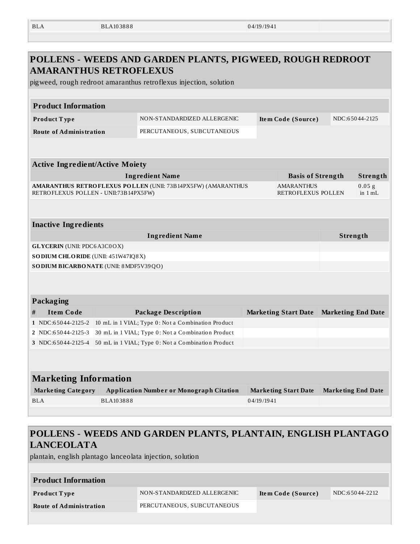| <b>BLA</b> | BLA103888 | 04/19/1941 |
|------------|-----------|------------|
|            |           |            |

|                                        | <b>AMARANTHUS RETROFLEXUS</b><br>pigweed, rough redroot amaranthus retroflexus injection, solution    |            |                                         |                           |                     |
|----------------------------------------|-------------------------------------------------------------------------------------------------------|------------|-----------------------------------------|---------------------------|---------------------|
| <b>Product Information</b>             |                                                                                                       |            |                                         |                           |                     |
| Product Type                           | NON-STANDARDIZED ALLERGENIC                                                                           |            | Item Code (Source)                      |                           | NDC:65044-2125      |
| <b>Route of Administration</b>         | PERCUTANEOUS, SUBCUTANEOUS                                                                            |            |                                         |                           |                     |
| <b>Active Ingredient/Active Moiety</b> |                                                                                                       |            |                                         |                           |                     |
|                                        | <b>Ingredient Name</b>                                                                                |            | <b>Basis of Strength</b>                |                           | Strength            |
|                                        | AMARANTHUS RETROFLEXUS POLLEN (UNII: 73B14PX5FW) (AMARANTHUS<br>RETROFLEXUS POLLEN - UNII:73B14PX5FW) |            | <b>AMARANTHUS</b><br>RETROFLEXUS POLLEN |                           | 0.05 g<br>in $1 mL$ |
| <b>Inactive Ingredients</b>            |                                                                                                       |            |                                         |                           |                     |
|                                        | <b>Ingredient Name</b>                                                                                |            |                                         | Strength                  |                     |
| <b>GLYCERIN</b> (UNII: PDC6A3C0OX)     |                                                                                                       |            |                                         |                           |                     |
| SODIUM CHLORIDE (UNII: 451W47IQ8X)     |                                                                                                       |            |                                         |                           |                     |
|                                        | SO DIUM BICARBONATE (UNII: 8 MDF5V39QO)                                                               |            |                                         |                           |                     |
| Packaging                              |                                                                                                       |            |                                         |                           |                     |
| <b>Item Code</b><br>#                  | <b>Package Description</b>                                                                            |            | <b>Marketing Start Date</b>             | <b>Marketing End Date</b> |                     |
| 1 NDC:65044-2125-2                     | 10 mL in 1 VIAL; Type 0: Not a Combination Product                                                    |            |                                         |                           |                     |
| 2 NDC:65044-2125-3                     | 30 mL in 1 VIAL; Type 0: Not a Combination Product                                                    |            |                                         |                           |                     |
| 3 NDC:65044-2125-4                     | 50 mL in 1 VIAL; Type 0: Not a Combination Product                                                    |            |                                         |                           |                     |
| <b>Marketing Information</b>           |                                                                                                       |            |                                         |                           |                     |
| <b>Marketing Category</b>              | <b>Application Number or Monograph Citation</b>                                                       |            | <b>Marketing Start Date</b>             | <b>Marketing End Date</b> |                     |
| <b>BLA</b>                             | BLA103888                                                                                             | 04/19/1941 |                                         |                           |                     |
|                                        |                                                                                                       |            |                                         |                           |                     |

plantain, english plantago lanceolata injection, solution

| <b>Product Information</b>     |                             |                    |                |  |  |  |  |
|--------------------------------|-----------------------------|--------------------|----------------|--|--|--|--|
| Product Type                   | NON-STANDARDIZED ALLERGENIC | Item Code (Source) | NDC:65044-2212 |  |  |  |  |
| <b>Route of Administration</b> | PERCUTANEOUS, SUBCUTANEOUS  |                    |                |  |  |  |  |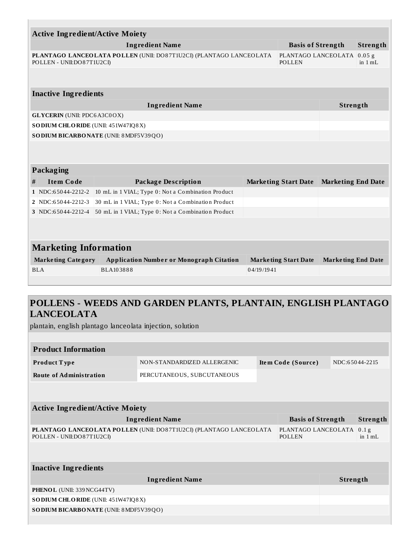| <b>Active Ingredient/Active Moiety</b>                                                                                                         |                                                    |                                                    |            |                             |                           |                 |  |  |  |
|------------------------------------------------------------------------------------------------------------------------------------------------|----------------------------------------------------|----------------------------------------------------|------------|-----------------------------|---------------------------|-----------------|--|--|--|
|                                                                                                                                                | <b>Ingredient Name</b><br><b>Basis of Strength</b> |                                                    |            |                             |                           | <b>Strength</b> |  |  |  |
| PLANTAGO LANCEOLATA POLLEN (UNII: DO87T1U2CI) (PLANTAGO LANCEOLATA<br>PLANTAGO LANCEOLATA 0.05 g<br>POLLEN - UNII:DO87T1U2CI)<br><b>POLLEN</b> |                                                    |                                                    |            |                             |                           | in $1 mL$       |  |  |  |
|                                                                                                                                                |                                                    |                                                    |            |                             |                           |                 |  |  |  |
|                                                                                                                                                | <b>Inactive Ingredients</b>                        |                                                    |            |                             |                           |                 |  |  |  |
|                                                                                                                                                |                                                    | <b>Ingredient Name</b>                             |            |                             | Strength                  |                 |  |  |  |
|                                                                                                                                                | <b>GLYCERIN</b> (UNII: PDC6A3C0OX)                 |                                                    |            |                             |                           |                 |  |  |  |
|                                                                                                                                                | SO DIUM CHLORIDE (UNII: 451W47IQ8X)                |                                                    |            |                             |                           |                 |  |  |  |
|                                                                                                                                                |                                                    | SODIUM BICARBONATE (UNII: 8 MDF5V39QO)             |            |                             |                           |                 |  |  |  |
|                                                                                                                                                |                                                    |                                                    |            |                             |                           |                 |  |  |  |
|                                                                                                                                                | Packaging                                          |                                                    |            |                             |                           |                 |  |  |  |
| #                                                                                                                                              | <b>Item Code</b>                                   | <b>Package Description</b>                         |            | <b>Marketing Start Date</b> | <b>Marketing End Date</b> |                 |  |  |  |
|                                                                                                                                                | 1 NDC:65044-2212-2                                 | 10 mL in 1 VIAL; Type 0: Not a Combination Product |            |                             |                           |                 |  |  |  |
|                                                                                                                                                | 2 NDC:65044-2212-3                                 | 30 mL in 1 VIAL; Type 0: Not a Combination Product |            |                             |                           |                 |  |  |  |
|                                                                                                                                                | 3 NDC:65044-2212-4                                 | 50 mL in 1 VIAL; Type 0: Not a Combination Product |            |                             |                           |                 |  |  |  |
|                                                                                                                                                |                                                    |                                                    |            |                             |                           |                 |  |  |  |
|                                                                                                                                                |                                                    |                                                    |            |                             |                           |                 |  |  |  |
| <b>Marketing Information</b>                                                                                                                   |                                                    |                                                    |            |                             |                           |                 |  |  |  |
|                                                                                                                                                | <b>Marketing Category</b>                          | <b>Application Number or Monograph Citation</b>    |            | <b>Marketing Start Date</b> | <b>Marketing End Date</b> |                 |  |  |  |
|                                                                                                                                                | BLA                                                | BLA103888                                          | 04/19/1941 |                             |                           |                 |  |  |  |
|                                                                                                                                                |                                                    |                                                    |            |                             |                           |                 |  |  |  |

## **POLLENS - WEEDS AND GARDEN PLANTS, PLANTAIN, ENGLISH PLANTAGO LANCEOLATA**

plantain, english plantago lanceolata injection, solution

| <b>Product Information</b>                    |                                                                    |  |                               |                 |                               |  |
|-----------------------------------------------|--------------------------------------------------------------------|--|-------------------------------|-----------------|-------------------------------|--|
| <b>Product Type</b>                           | NON-STANDARDIZED ALLERGENIC                                        |  | Item Code (Source)            |                 | NDC:65044-2215                |  |
| <b>Route of Administration</b>                | PERCUTANEOUS, SUBCUTANEOUS                                         |  |                               |                 |                               |  |
|                                               |                                                                    |  |                               |                 |                               |  |
| <b>Active Ingredient/Active Moiety</b>        |                                                                    |  |                               |                 |                               |  |
|                                               | <b>Ingredient Name</b><br><b>Basis of Strength</b><br>Strength     |  |                               |                 |                               |  |
| POLLEN - UNII:DO87T1U2CI)                     | PLANTAGO LANCEOLATA POLLEN (UNII: DO87T1U2CI) (PLANTAGO LANCEOLATA |  | PLANTAGO LANCEOLATA<br>POLLEN |                 | 0.1 <sub>g</sub><br>in $1 mL$ |  |
|                                               |                                                                    |  |                               |                 |                               |  |
| <b>Inactive Ingredients</b>                   |                                                                    |  |                               |                 |                               |  |
|                                               | <b>Ingredient Name</b>                                             |  |                               | <b>Strength</b> |                               |  |
| PHENOL (UNII: 339 NCG44TV)                    |                                                                    |  |                               |                 |                               |  |
| <b>SODIUM CHLORIDE</b> (UNII: 451W47IQ8X)     |                                                                    |  |                               |                 |                               |  |
| <b>SODIUM BICARBONATE (UNII: 8 MDF5V39QO)</b> |                                                                    |  |                               |                 |                               |  |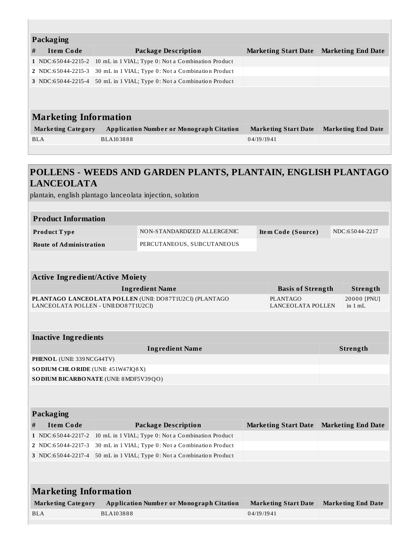|   | <b>Packaging</b>             |                                                    |                             |                           |  |  |  |
|---|------------------------------|----------------------------------------------------|-----------------------------|---------------------------|--|--|--|
| # | <b>Item Code</b>             | Package Description                                | <b>Marketing Start Date</b> | <b>Marketing End Date</b> |  |  |  |
|   | $1$ NDC:65044-2215-2         | 10 mL in 1 VIAL; Type 0: Not a Combination Product |                             |                           |  |  |  |
|   | 2 NDC:65044-2215-3           | 30 mL in 1 VIAL; Type 0: Not a Combination Product |                             |                           |  |  |  |
|   | $3$ NDC:65044-2215-4         | 50 mL in 1 VIAL; Type 0: Not a Combination Product |                             |                           |  |  |  |
|   |                              |                                                    |                             |                           |  |  |  |
|   |                              |                                                    |                             |                           |  |  |  |
|   | <b>Marketing Information</b> |                                                    |                             |                           |  |  |  |
|   | <b>Marketing Category</b>    | <b>Application Number or Monograph Citation</b>    | <b>Marketing Start Date</b> | <b>Marketing End Date</b> |  |  |  |
|   | BLA                          | BLA103888                                          | 04/19/1941                  |                           |  |  |  |
|   |                              |                                                    |                             |                           |  |  |  |

## **POLLENS - WEEDS AND GARDEN PLANTS, PLANTAIN, ENGLISH PLANTAGO LANCEOLATA**

plantain, english plantago lanceolata injection, solution

| <b>Product Information</b>     |                             |                    |                |  |  |  |
|--------------------------------|-----------------------------|--------------------|----------------|--|--|--|
| <b>Product Type</b>            | NON-STANDARDIZED ALLERGENIC | Item Code (Source) | NDC:65044-2217 |  |  |  |
| <b>Route of Administration</b> | PERCUTANEOUS, SUBCUTANEOUS  |                    |                |  |  |  |

| <b>Active Ingredient/Active Moiety</b>                                                          |                               |                          |  |  |
|-------------------------------------------------------------------------------------------------|-------------------------------|--------------------------|--|--|
| <b>Ingredient Name</b>                                                                          | <b>Basis of Strength</b>      | Strength                 |  |  |
| PLANTAGO LANCEOLATA POLLEN (UNII: DO87T1U2CI) (PLANTAGO<br>LANCEOLATA POLLEN - UNII:DO87T1U2CI) | PLANTAGO<br>LANCEOLATA POLLEN | 20000 [PNU]<br>in $1 mL$ |  |  |

#### **Inactive Ingredients**

| Ingredient Name                               | Strength |
|-----------------------------------------------|----------|
| <b>PHENOL</b> (UNII: 339 NCG44TV)             |          |
| <b>SODIUM CHLORIDE</b> (UNII: $451W47IQ8X$ )  |          |
| <b>SODIUM BICARBONATE</b> (UNII: 8 MDF5V39QO) |          |

#### **Packaging**

| .         |                                                                                              |                                         |  |
|-----------|----------------------------------------------------------------------------------------------|-----------------------------------------|--|
| Item Code | <b>Package Description</b>                                                                   | Marketing Start Date Marketing End Date |  |
|           | $1 \overline{NDC:}65044-2217-2 \overline{10}mL$ in 1 VIAL; Type 0: Not a Combination Product |                                         |  |
|           | $\mid$ 2 NDC:65044-2217-3 30 mL in 1 VIAL; Type 0: Not a Combination Product                 |                                         |  |
|           | 3 NDC:65044-2217-4 50 mL in 1 VIAL; Type 0: Not a Combination Product                        |                                         |  |

| <b>Marketing Information</b> |                                                 |                      |                           |  |  |
|------------------------------|-------------------------------------------------|----------------------|---------------------------|--|--|
| <b>Marketing Category</b>    | <b>Application Number or Monograph Citation</b> | Marketing Start Date | <b>Marketing End Date</b> |  |  |
| BLA                          | BLA103888                                       | 04/19/1941           |                           |  |  |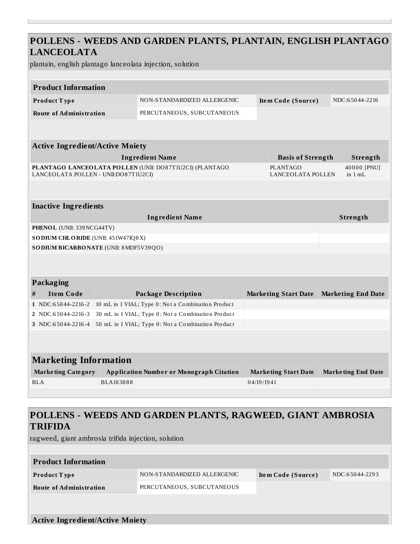### **POLLENS - WEEDS AND GARDEN PLANTS, PLANTAIN, ENGLISH PLANTAGO LANCEOLATA**

plantain, english plantago lanceolata injection, solution

| <b>Product Information</b>              |           |                                                         |            |                                      |  |                           |
|-----------------------------------------|-----------|---------------------------------------------------------|------------|--------------------------------------|--|---------------------------|
| Product Type                            |           | NON-STANDARDIZED ALLERGENIC                             |            | Item Code (Source)                   |  | NDC:65044-2216            |
|                                         |           |                                                         |            |                                      |  |                           |
| <b>Route of Administration</b>          |           | PERCUTANEOUS, SUBCUTANEOUS                              |            |                                      |  |                           |
|                                         |           |                                                         |            |                                      |  |                           |
| <b>Active Ingredient/Active Moiety</b>  |           |                                                         |            |                                      |  |                           |
|                                         |           | <b>Ingredient Name</b>                                  |            | <b>Basis of Strength</b>             |  | Strength                  |
| LANCEOLATA POLLEN - UNII:DO87T1U2CI)    |           | PLANTAGO LANCEOLATA POLLEN (UNII: DO87T1U2CI) (PLANTAGO |            | <b>PLANTAGO</b><br>LANCEOLATA POLLEN |  | 40000 [PNU]<br>in $1 mL$  |
|                                         |           |                                                         |            |                                      |  |                           |
| <b>Inactive Ingredients</b>             |           |                                                         |            |                                      |  |                           |
| <b>Ingredient Name</b>                  |           |                                                         | Strength   |                                      |  |                           |
| PHENOL (UNII: 339 NCG44TV)              |           |                                                         |            |                                      |  |                           |
| SO DIUM CHLORIDE (UNII: 451W47IQ8X)     |           |                                                         |            |                                      |  |                           |
| SO DIUM BICARBONATE (UNII: 8 MDF5V39QO) |           |                                                         |            |                                      |  |                           |
|                                         |           |                                                         |            |                                      |  |                           |
| Packaging                               |           |                                                         |            |                                      |  |                           |
| <b>Item Code</b><br>#                   |           | <b>Package Description</b>                              |            | <b>Marketing Start Date</b>          |  | <b>Marketing End Date</b> |
| 1 NDC:65044-2216-2                      |           | 10 mL in 1 VIAL; Type 0: Not a Combination Product      |            |                                      |  |                           |
| 2 NDC:65044-2216-3                      |           | 30 mL in 1 VIAL; Type 0: Not a Combination Product      |            |                                      |  |                           |
| 3 NDC:65044-2216-4                      |           | 50 mL in 1 VIAL; Type 0: Not a Combination Product      |            |                                      |  |                           |
|                                         |           |                                                         |            |                                      |  |                           |
|                                         |           |                                                         |            |                                      |  |                           |
| <b>Marketing Information</b>            |           |                                                         |            |                                      |  |                           |
| <b>Marketing Category</b>               |           | <b>Application Number or Monograph Citation</b>         |            | <b>Marketing Start Date</b>          |  | <b>Marketing End Date</b> |
| <b>BLA</b>                              | BLA103888 |                                                         | 04/19/1941 |                                      |  |                           |
|                                         |           |                                                         |            |                                      |  |                           |
|                                         |           |                                                         |            |                                      |  |                           |

## **POLLENS - WEEDS AND GARDEN PLANTS, RAGWEED, GIANT AMBROSIA TRIFIDA**

ragweed, giant ambrosia trifida injection, solution

| <b>Product Information</b>                                                                            |                             |                    |                |  |  |
|-------------------------------------------------------------------------------------------------------|-----------------------------|--------------------|----------------|--|--|
| <b>Product Type</b>                                                                                   | NON-STANDARDIZED ALLERGENIC | Item Code (Source) | NDC:65044-2293 |  |  |
| <b>Route of Administration</b>                                                                        | PERCUTANEOUS, SUBCUTANEOUS  |                    |                |  |  |
|                                                                                                       |                             |                    |                |  |  |
| $A_{\text{min}}$ $I_{\text{max}}$ $A_{\text{max}}$ $A_{\text{max}}$ $A_{\text{max}}$ $M_{\text{max}}$ |                             |                    |                |  |  |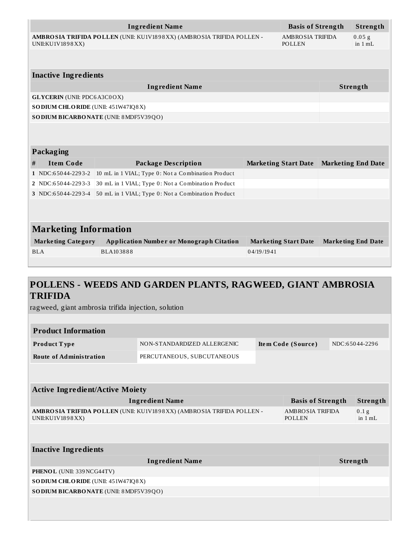|            | AMBROSIA TRIFIDA POLLEN (UNII: KU1V1898XX) (AMBROSIA TRIFIDA POLLEN -<br><b>AMBROSIA TRIFIDA</b><br>UNII:KU1V1898XX)<br><b>POLLEN</b> |                                                    |                             | $0.05$ g<br>in 1 mL         |                           |
|------------|---------------------------------------------------------------------------------------------------------------------------------------|----------------------------------------------------|-----------------------------|-----------------------------|---------------------------|
|            |                                                                                                                                       |                                                    |                             |                             |                           |
|            | <b>Inactive Ingredients</b>                                                                                                           |                                                    |                             |                             |                           |
|            |                                                                                                                                       | <b>Ingredient Name</b>                             |                             |                             | Strength                  |
|            | <b>GLYCERIN</b> (UNII: PDC6A3C0OX)                                                                                                    |                                                    |                             |                             |                           |
|            | SODIUM CHLORIDE (UNII: 451W47IQ8X)                                                                                                    |                                                    |                             |                             |                           |
|            |                                                                                                                                       | SO DIUM BICARBONATE (UNII: 8 MDF5V39QO)            |                             |                             |                           |
|            | Packaging                                                                                                                             |                                                    |                             |                             |                           |
| #          | <b>Item Code</b>                                                                                                                      | <b>Package Description</b>                         | <b>Marketing Start Date</b> |                             | <b>Marketing End Date</b> |
|            | 1 NDC:65044-2293-2                                                                                                                    | 10 mL in 1 VIAL; Type 0: Not a Combination Product |                             |                             |                           |
|            | 2 NDC:65044-2293-3                                                                                                                    | 30 mL in 1 VIAL; Type 0: Not a Combination Product |                             |                             |                           |
|            | 3 NDC:65044-2293-4                                                                                                                    | 50 mL in 1 VIAL; Type 0: Not a Combination Product |                             |                             |                           |
|            |                                                                                                                                       |                                                    |                             |                             |                           |
|            |                                                                                                                                       |                                                    |                             |                             |                           |
|            | <b>Marketing Information</b>                                                                                                          |                                                    |                             |                             |                           |
|            | <b>Marketing Category</b>                                                                                                             | <b>Application Number or Monograph Citation</b>    |                             | <b>Marketing Start Date</b> | <b>Marketing End Date</b> |
| <b>BLA</b> |                                                                                                                                       | BLA103888                                          | 04/19/1941                  |                             |                           |
|            |                                                                                                                                       |                                                    |                             |                             |                           |

### **POLLENS - WEEDS AND GARDEN PLANTS, RAGWEED, GIANT AMBROSIA TRIFIDA**

ragweed, giant ambrosia trifida injection, solution

| <b>Product Information</b>     |                             |                    |                |  |  |  |
|--------------------------------|-----------------------------|--------------------|----------------|--|--|--|
| Product Type                   | NON-STANDARDIZED ALLERGENIC | Item Code (Source) | NDC:65044-2296 |  |  |  |
| <b>Route of Administration</b> | PERCUTANEOUS, SUBCUTANEOUS  |                    |                |  |  |  |
|                                |                             |                    |                |  |  |  |

| <b>Active Ingredient/Active Moiety</b>                                                    |                            |          |                               |  |  |  |
|-------------------------------------------------------------------------------------------|----------------------------|----------|-------------------------------|--|--|--|
| <b>Ingredient Name</b>                                                                    | <b>Basis of Strength</b>   |          | Strength                      |  |  |  |
| AMBROSIA TRIFIDA POLLEN (UNII: KU1V1898XX) (AMBROSIA TRIFIDA POLLEN -<br>UNII:KU1V1898XX) | AMBROSIA TRIFIDA<br>POLLEN |          | 0.1 <sub>g</sub><br>in $1 mL$ |  |  |  |
|                                                                                           |                            |          |                               |  |  |  |
| <b>Inactive Ingredients</b>                                                               |                            |          |                               |  |  |  |
| <b>Ingredient Name</b>                                                                    |                            | Strength |                               |  |  |  |
| PHENOL (UNII: 339 NCG44TV)                                                                |                            |          |                               |  |  |  |
| SO DIUM CHLORIDE (UNII: 451W47IQ8X)                                                       |                            |          |                               |  |  |  |
| SO DIUM BICARBONATE (UNII: 8 MDF5V39QO)                                                   |                            |          |                               |  |  |  |
|                                                                                           |                            |          |                               |  |  |  |
|                                                                                           |                            |          |                               |  |  |  |
|                                                                                           |                            |          |                               |  |  |  |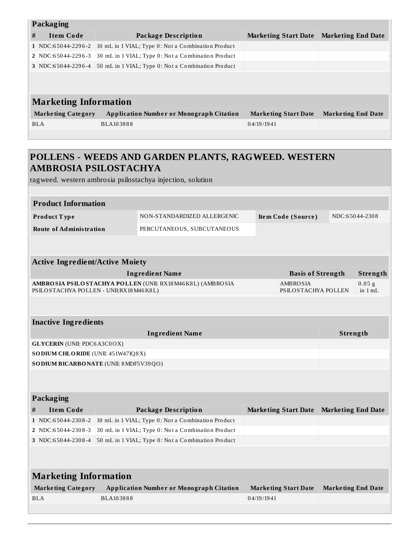|   | <b>Packaging</b>             |                                                    |                             |                           |  |  |
|---|------------------------------|----------------------------------------------------|-----------------------------|---------------------------|--|--|
| # | <b>Item Code</b>             | <b>Package Description</b>                         | <b>Marketing Start Date</b> | <b>Marketing End Date</b> |  |  |
|   | 1 NDC:65044-2296-2           | 10 mL in 1 VIAL; Type 0: Not a Combination Product |                             |                           |  |  |
|   | 2 NDC:65044-2296-3           | 30 mL in 1 VIAL; Type 0: Not a Combination Product |                             |                           |  |  |
|   | 3 NDC:65044-2296-4           | 50 mL in 1 VIAL; Type 0: Not a Combination Product |                             |                           |  |  |
|   |                              |                                                    |                             |                           |  |  |
|   |                              |                                                    |                             |                           |  |  |
|   | <b>Marketing Information</b> |                                                    |                             |                           |  |  |
|   | <b>Marketing Category</b>    | <b>Application Number or Monograph Citation</b>    | <b>Marketing Start Date</b> | <b>Marketing End Date</b> |  |  |
|   | <b>BLA</b>                   | BLA103888                                          | 04/19/1941                  |                           |  |  |
|   |                              |                                                    |                             |                           |  |  |
|   |                              |                                                    |                             |                           |  |  |

## **POLLENS - WEEDS AND GARDEN PLANTS, RAGWEED. WESTERN AMBROSIA PSILOSTACHYA**

ragweed. western ambrosia psilostachya injection, solution

| <b>Product Information</b><br>NDC:65044-2308<br>Product Type<br>NON-STANDARDIZED ALLERGENIC<br>Item Code (Source)<br><b>Route of Administration</b><br>PERCUTANEOUS, SUBCUTANEOUS<br><b>Active Ingredient/Active Moiety</b><br><b>Ingredient Name</b><br><b>Basis of Strength</b><br>Strength<br>0.05 g<br>AMBROSIA PSILOSTACHYA POLLEN (UNII: RX18M46K8L) (AMBROSIA<br>AMBROSIA<br>PSILOSTACHYA POLLEN - UNII:RX18M46K8L)<br>PSILOSTACHYA POLLEN<br>in 1 mL<br><b>Inactive Ingredients</b><br><b>Ingredient Name</b><br>Strength<br><b>GLYCERIN</b> (UNII: PDC6A3C0OX)<br>SODIUM CHLORIDE (UNII: 451W47IQ8X)<br>SO DIUM BICARBONATE (UNII: 8 MDF5V39QO)<br>Packaging<br><b>Item Code</b><br><b>Package Description</b><br><b>Marketing End Date</b><br>#<br><b>Marketing Start Date</b><br>10 mL in 1 VIAL; Type 0: Not a Combination Product<br>1 NDC:65044-2308-2<br>30 mL in 1 VIAL; Type 0: Not a Combination Product<br>2   NDC:65044-2308-3<br>3 NDC:65044-2308-4<br>50 mL in 1 VIAL; Type 0: Not a Combination Product<br><b>Marketing Information</b><br><b>Marketing Category</b><br><b>Application Number or Monograph Citation</b><br><b>Marketing Start Date</b><br><b>Marketing End Date</b><br>BLA103888<br><b>BLA</b><br>04/19/1941 |  |  |  |  |  |  |  |  |  |
|-----------------------------------------------------------------------------------------------------------------------------------------------------------------------------------------------------------------------------------------------------------------------------------------------------------------------------------------------------------------------------------------------------------------------------------------------------------------------------------------------------------------------------------------------------------------------------------------------------------------------------------------------------------------------------------------------------------------------------------------------------------------------------------------------------------------------------------------------------------------------------------------------------------------------------------------------------------------------------------------------------------------------------------------------------------------------------------------------------------------------------------------------------------------------------------------------------------------------------------------------------|--|--|--|--|--|--|--|--|--|
|                                                                                                                                                                                                                                                                                                                                                                                                                                                                                                                                                                                                                                                                                                                                                                                                                                                                                                                                                                                                                                                                                                                                                                                                                                                     |  |  |  |  |  |  |  |  |  |
|                                                                                                                                                                                                                                                                                                                                                                                                                                                                                                                                                                                                                                                                                                                                                                                                                                                                                                                                                                                                                                                                                                                                                                                                                                                     |  |  |  |  |  |  |  |  |  |
|                                                                                                                                                                                                                                                                                                                                                                                                                                                                                                                                                                                                                                                                                                                                                                                                                                                                                                                                                                                                                                                                                                                                                                                                                                                     |  |  |  |  |  |  |  |  |  |
|                                                                                                                                                                                                                                                                                                                                                                                                                                                                                                                                                                                                                                                                                                                                                                                                                                                                                                                                                                                                                                                                                                                                                                                                                                                     |  |  |  |  |  |  |  |  |  |
|                                                                                                                                                                                                                                                                                                                                                                                                                                                                                                                                                                                                                                                                                                                                                                                                                                                                                                                                                                                                                                                                                                                                                                                                                                                     |  |  |  |  |  |  |  |  |  |
|                                                                                                                                                                                                                                                                                                                                                                                                                                                                                                                                                                                                                                                                                                                                                                                                                                                                                                                                                                                                                                                                                                                                                                                                                                                     |  |  |  |  |  |  |  |  |  |
|                                                                                                                                                                                                                                                                                                                                                                                                                                                                                                                                                                                                                                                                                                                                                                                                                                                                                                                                                                                                                                                                                                                                                                                                                                                     |  |  |  |  |  |  |  |  |  |
|                                                                                                                                                                                                                                                                                                                                                                                                                                                                                                                                                                                                                                                                                                                                                                                                                                                                                                                                                                                                                                                                                                                                                                                                                                                     |  |  |  |  |  |  |  |  |  |
|                                                                                                                                                                                                                                                                                                                                                                                                                                                                                                                                                                                                                                                                                                                                                                                                                                                                                                                                                                                                                                                                                                                                                                                                                                                     |  |  |  |  |  |  |  |  |  |
|                                                                                                                                                                                                                                                                                                                                                                                                                                                                                                                                                                                                                                                                                                                                                                                                                                                                                                                                                                                                                                                                                                                                                                                                                                                     |  |  |  |  |  |  |  |  |  |
|                                                                                                                                                                                                                                                                                                                                                                                                                                                                                                                                                                                                                                                                                                                                                                                                                                                                                                                                                                                                                                                                                                                                                                                                                                                     |  |  |  |  |  |  |  |  |  |
|                                                                                                                                                                                                                                                                                                                                                                                                                                                                                                                                                                                                                                                                                                                                                                                                                                                                                                                                                                                                                                                                                                                                                                                                                                                     |  |  |  |  |  |  |  |  |  |
|                                                                                                                                                                                                                                                                                                                                                                                                                                                                                                                                                                                                                                                                                                                                                                                                                                                                                                                                                                                                                                                                                                                                                                                                                                                     |  |  |  |  |  |  |  |  |  |
|                                                                                                                                                                                                                                                                                                                                                                                                                                                                                                                                                                                                                                                                                                                                                                                                                                                                                                                                                                                                                                                                                                                                                                                                                                                     |  |  |  |  |  |  |  |  |  |
|                                                                                                                                                                                                                                                                                                                                                                                                                                                                                                                                                                                                                                                                                                                                                                                                                                                                                                                                                                                                                                                                                                                                                                                                                                                     |  |  |  |  |  |  |  |  |  |
|                                                                                                                                                                                                                                                                                                                                                                                                                                                                                                                                                                                                                                                                                                                                                                                                                                                                                                                                                                                                                                                                                                                                                                                                                                                     |  |  |  |  |  |  |  |  |  |
|                                                                                                                                                                                                                                                                                                                                                                                                                                                                                                                                                                                                                                                                                                                                                                                                                                                                                                                                                                                                                                                                                                                                                                                                                                                     |  |  |  |  |  |  |  |  |  |
|                                                                                                                                                                                                                                                                                                                                                                                                                                                                                                                                                                                                                                                                                                                                                                                                                                                                                                                                                                                                                                                                                                                                                                                                                                                     |  |  |  |  |  |  |  |  |  |
|                                                                                                                                                                                                                                                                                                                                                                                                                                                                                                                                                                                                                                                                                                                                                                                                                                                                                                                                                                                                                                                                                                                                                                                                                                                     |  |  |  |  |  |  |  |  |  |
|                                                                                                                                                                                                                                                                                                                                                                                                                                                                                                                                                                                                                                                                                                                                                                                                                                                                                                                                                                                                                                                                                                                                                                                                                                                     |  |  |  |  |  |  |  |  |  |
|                                                                                                                                                                                                                                                                                                                                                                                                                                                                                                                                                                                                                                                                                                                                                                                                                                                                                                                                                                                                                                                                                                                                                                                                                                                     |  |  |  |  |  |  |  |  |  |
|                                                                                                                                                                                                                                                                                                                                                                                                                                                                                                                                                                                                                                                                                                                                                                                                                                                                                                                                                                                                                                                                                                                                                                                                                                                     |  |  |  |  |  |  |  |  |  |
|                                                                                                                                                                                                                                                                                                                                                                                                                                                                                                                                                                                                                                                                                                                                                                                                                                                                                                                                                                                                                                                                                                                                                                                                                                                     |  |  |  |  |  |  |  |  |  |
|                                                                                                                                                                                                                                                                                                                                                                                                                                                                                                                                                                                                                                                                                                                                                                                                                                                                                                                                                                                                                                                                                                                                                                                                                                                     |  |  |  |  |  |  |  |  |  |
|                                                                                                                                                                                                                                                                                                                                                                                                                                                                                                                                                                                                                                                                                                                                                                                                                                                                                                                                                                                                                                                                                                                                                                                                                                                     |  |  |  |  |  |  |  |  |  |
|                                                                                                                                                                                                                                                                                                                                                                                                                                                                                                                                                                                                                                                                                                                                                                                                                                                                                                                                                                                                                                                                                                                                                                                                                                                     |  |  |  |  |  |  |  |  |  |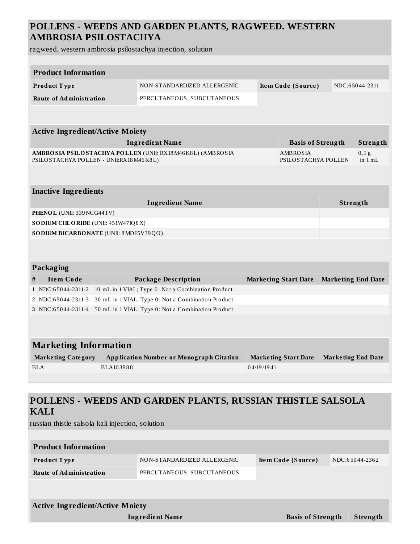## **POLLENS - WEEDS AND GARDEN PLANTS, RAGWEED. WESTERN AMBROSIA PSILOSTACHYA**

ragweed. western ambrosia psilostachya injection, solution

|   | <b>Product Information</b>                       |           |                                                            |            |  |                                 |          |                               |
|---|--------------------------------------------------|-----------|------------------------------------------------------------|------------|--|---------------------------------|----------|-------------------------------|
|   | Product Type                                     |           | NON-STANDARDIZED ALLERGENIC                                |            |  | Item Code (Source)              |          | NDC:65044-2311                |
|   | <b>Route of Administration</b>                   |           | PERCUTANEOUS, SUBCUTANEOUS                                 |            |  |                                 |          |                               |
|   |                                                  |           |                                                            |            |  |                                 |          |                               |
|   |                                                  |           |                                                            |            |  |                                 |          |                               |
|   | <b>Active Ingredient/Active Moiety</b>           |           |                                                            |            |  |                                 |          |                               |
|   |                                                  |           | <b>Ingredient Name</b>                                     |            |  | <b>Basis of Strength</b>        |          | Strength                      |
|   | PSILOSTACHYA POLLEN - UNII:RX18M46K8L)           |           | AMBROSIA PSILOSTACHYA POLLEN (UNII: RX18M46K8L) (AMBROSIA  |            |  | AMBROSIA<br>PSILOSTACHYA POLLEN |          | 0.1 <sub>g</sub><br>in $1 mL$ |
|   |                                                  |           |                                                            |            |  |                                 |          |                               |
|   | <b>Inactive Ingredients</b>                      |           |                                                            |            |  |                                 |          |                               |
|   |                                                  |           | <b>Ingredient Name</b>                                     |            |  |                                 | Strength |                               |
|   | PHENOL (UNII: 339 NCG44TV)                       |           |                                                            |            |  |                                 |          |                               |
|   | SODIUM CHLORIDE (UNII: 451W47IQ8X)               |           |                                                            |            |  |                                 |          |                               |
|   | SO DIUM BICARBONATE (UNII: 8 MDF5V39QO)          |           |                                                            |            |  |                                 |          |                               |
|   |                                                  |           |                                                            |            |  |                                 |          |                               |
|   |                                                  |           |                                                            |            |  |                                 |          |                               |
|   | Packaging                                        |           |                                                            |            |  |                                 |          |                               |
| # | <b>Item Code</b>                                 |           | <b>Package Description</b>                                 |            |  | <b>Marketing Start Date</b>     |          | <b>Marketing End Date</b>     |
|   | 1 NDC:65044-2311-2                               |           | 10 mL in 1 VIAL; Type 0: Not a Combination Product         |            |  |                                 |          |                               |
|   | 2 NDC:65044-2311-3                               |           | 30 mL in 1 VIAL; Type 0: Not a Combination Product         |            |  |                                 |          |                               |
|   | 3 NDC:65044-2311-4                               |           | 50 mL in 1 VIAL; Type 0: Not a Combination Product         |            |  |                                 |          |                               |
|   |                                                  |           |                                                            |            |  |                                 |          |                               |
|   |                                                  |           |                                                            |            |  |                                 |          |                               |
|   | <b>Marketing Information</b>                     |           |                                                            |            |  |                                 |          |                               |
|   | <b>Marketing Category</b>                        |           | <b>Application Number or Monograph Citation</b>            |            |  | <b>Marketing Start Date</b>     |          | <b>Marketing End Date</b>     |
|   | <b>BLA</b>                                       | BLA103888 |                                                            | 04/19/1941 |  |                                 |          |                               |
|   |                                                  |           |                                                            |            |  |                                 |          |                               |
|   |                                                  |           |                                                            |            |  |                                 |          |                               |
|   |                                                  |           | POLLENS - WEEDS AND GARDEN PLANTS, RUSSIAN THISTLE SALSOLA |            |  |                                 |          |                               |
|   | <b>KALI</b>                                      |           |                                                            |            |  |                                 |          |                               |
|   | russian thistle salsola kali injection, solution |           |                                                            |            |  |                                 |          |                               |
|   |                                                  |           |                                                            |            |  |                                 |          |                               |

| <b>Product Information</b>             |                             |                    |                |  |  |  |
|----------------------------------------|-----------------------------|--------------------|----------------|--|--|--|
| Product Type                           | NON-STANDARDIZED ALLERGENIC | Item Code (Source) | NDC:65044-2362 |  |  |  |
| <b>Route of Administration</b>         | PERCUTANEOUS, SUBCUTANEOUS  |                    |                |  |  |  |
|                                        |                             |                    |                |  |  |  |
| <b>Active Ingredient/Active Moiety</b> |                             |                    |                |  |  |  |
| <b>Ingredient Name</b>                 | <b>Basis of Strength</b>    | Strength           |                |  |  |  |